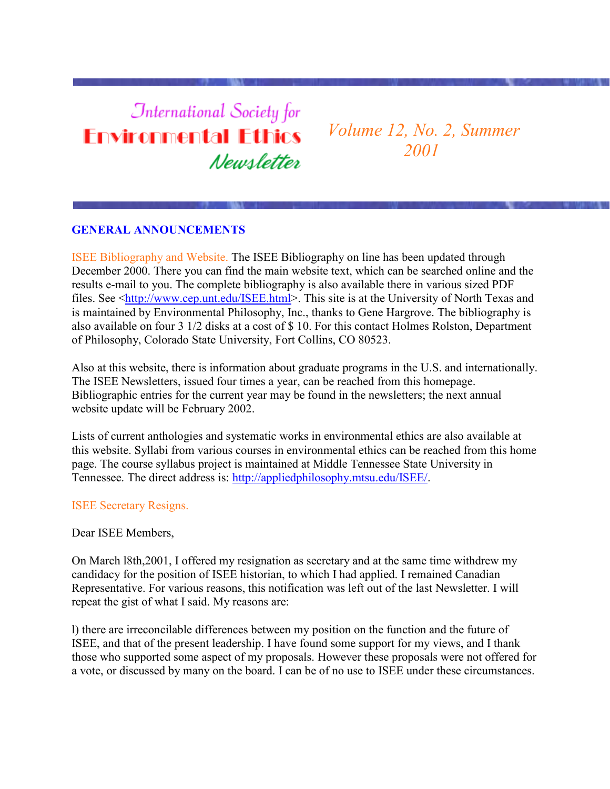# **International Society for Environmental Ethics** Newsletter

*Volume 12, No. 2, Summer 2001*

## **GENERAL ANNOUNCEMENTS**

ISEE Bibliography and Website. The ISEE Bibliography on line has been updated through December 2000. There you can find the main website text, which can be searched online and the results e-mail to you. The complete bibliography is also available there in various sized PDF files. See [<http://www.cep.unt.edu/ISEE.html>](http://www.cep.unt.edu/ISEE.html). This site is at the University of North Texas and is maintained by Environmental Philosophy, Inc., thanks to Gene Hargrove. The bibliography is also available on four 3 1/2 disks at a cost of \$ 10. For this contact Holmes Rolston, Department of Philosophy, Colorado State University, Fort Collins, CO 80523.

Also at this website, there is information about graduate programs in the U.S. and internationally. The ISEE Newsletters, issued four times a year, can be reached from this homepage. Bibliographic entries for the current year may be found in the newsletters; the next annual website update will be February 2002.

Lists of current anthologies and systematic works in environmental ethics are also available at this website. Syllabi from various courses in environmental ethics can be reached from this home page. The course syllabus project is maintained at Middle Tennessee State University in Tennessee. The direct address is: [http://appliedphilosophy.mtsu.edu/ISEE/.](http://appliedphilosophy.mtsu.edu/ISEE/)

#### ISEE Secretary Resigns.

Dear ISEE Members,

On March l8th,2001, I offered my resignation as secretary and at the same time withdrew my candidacy for the position of ISEE historian, to which I had applied. I remained Canadian Representative. For various reasons, this notification was left out of the last Newsletter. I will repeat the gist of what I said. My reasons are:

l) there are irreconcilable differences between my position on the function and the future of ISEE, and that of the present leadership. I have found some support for my views, and I thank those who supported some aspect of my proposals. However these proposals were not offered for a vote, or discussed by many on the board. I can be of no use to ISEE under these circumstances.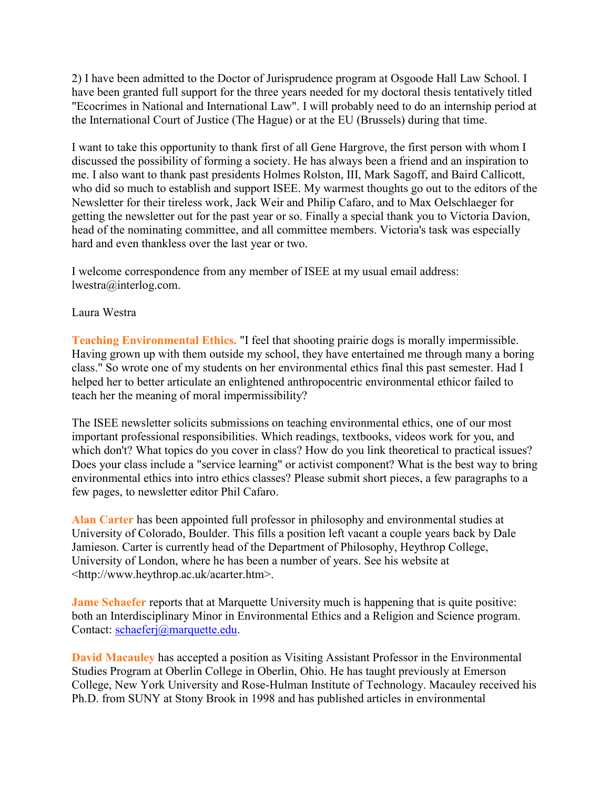2) I have been admitted to the Doctor of Jurisprudence program at Osgoode Hall Law School. I have been granted full support for the three years needed for my doctoral thesis tentatively titled "Ecocrimes in National and International Law". I will probably need to do an internship period at the International Court of Justice (The Hague) or at the EU (Brussels) during that time.

I want to take this opportunity to thank first of all Gene Hargrove, the first person with whom I discussed the possibility of forming a society. He has always been a friend and an inspiration to me. I also want to thank past presidents Holmes Rolston, III, Mark Sagoff, and Baird Callicott, who did so much to establish and support ISEE. My warmest thoughts go out to the editors of the Newsletter for their tireless work, Jack Weir and Philip Cafaro, and to Max Oelschlaeger for getting the newsletter out for the past year or so. Finally a special thank you to Victoria Davion, head of the nominating committee, and all committee members. Victoria's task was especially hard and even thankless over the last year or two.

I welcome correspondence from any member of ISEE at my usual email address: lwestra@interlog.com.

## Laura Westra

**Teaching Environmental Ethics.** "I feel that shooting prairie dogs is morally impermissible. Having grown up with them outside my school, they have entertained me through many a boring class." So wrote one of my students on her environmental ethics final this past semester. Had I helped her to better articulate an enlightened anthropocentric environmental ethicor failed to teach her the meaning of moral impermissibility?

The ISEE newsletter solicits submissions on teaching environmental ethics, one of our most important professional responsibilities. Which readings, textbooks, videos work for you, and which don't? What topics do you cover in class? How do you link theoretical to practical issues? Does your class include a "service learning" or activist component? What is the best way to bring environmental ethics into intro ethics classes? Please submit short pieces, a few paragraphs to a few pages, to newsletter editor Phil Cafaro.

**Alan Carter** has been appointed full professor in philosophy and environmental studies at University of Colorado, Boulder. This fills a position left vacant a couple years back by Dale Jamieson. Carter is currently head of the Department of Philosophy, Heythrop College, University of London, where he has been a number of years. See his website at <http://www.heythrop.ac.uk/acarter.htm>.

**Jame Schaefer** reports that at Marquette University much is happening that is quite positive: both an Interdisciplinary Minor in Environmental Ethics and a Religion and Science program. Contact: [schaeferj@marquette.edu.](mailto:schaeferj@marquette.edu)

**David Macauley** has accepted a position as Visiting Assistant Professor in the Environmental Studies Program at Oberlin College in Oberlin, Ohio. He has taught previously at Emerson College, New York University and Rose-Hulman Institute of Technology. Macauley received his Ph.D. from SUNY at Stony Brook in 1998 and has published articles in environmental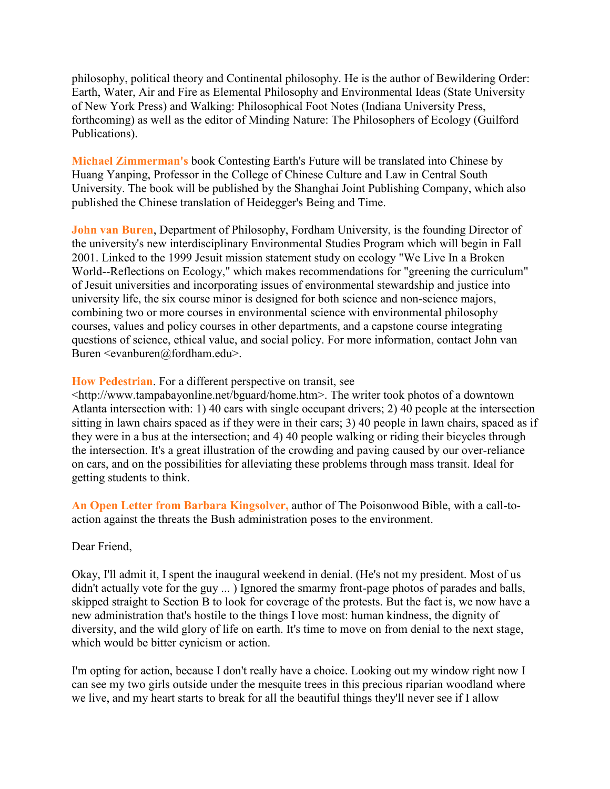philosophy, political theory and Continental philosophy. He is the author of Bewildering Order: Earth, Water, Air and Fire as Elemental Philosophy and Environmental Ideas (State University of New York Press) and Walking: Philosophical Foot Notes (Indiana University Press, forthcoming) as well as the editor of Minding Nature: The Philosophers of Ecology (Guilford Publications).

**Michael Zimmerman's** book Contesting Earth's Future will be translated into Chinese by Huang Yanping, Professor in the College of Chinese Culture and Law in Central South University. The book will be published by the Shanghai Joint Publishing Company, which also published the Chinese translation of Heidegger's Being and Time.

**John van Buren**, Department of Philosophy, Fordham University, is the founding Director of the university's new interdisciplinary Environmental Studies Program which will begin in Fall 2001. Linked to the 1999 Jesuit mission statement study on ecology "We Live In a Broken World--Reflections on Ecology," which makes recommendations for "greening the curriculum" of Jesuit universities and incorporating issues of environmental stewardship and justice into university life, the six course minor is designed for both science and non-science majors, combining two or more courses in environmental science with environmental philosophy courses, values and policy courses in other departments, and a capstone course integrating questions of science, ethical value, and social policy. For more information, contact John van Buren  $\le$ evanburen $\omega$ fordham.edu>.

#### **How Pedestrian**. For a different perspective on transit, see

<http://www.tampabayonline.net/bguard/home.htm>. The writer took photos of a downtown Atlanta intersection with: 1) 40 cars with single occupant drivers; 2) 40 people at the intersection sitting in lawn chairs spaced as if they were in their cars; 3) 40 people in lawn chairs, spaced as if they were in a bus at the intersection; and 4) 40 people walking or riding their bicycles through the intersection. It's a great illustration of the crowding and paving caused by our over-reliance on cars, and on the possibilities for alleviating these problems through mass transit. Ideal for getting students to think.

**An Open Letter from Barbara Kingsolver,** author of The Poisonwood Bible, with a call-toaction against the threats the Bush administration poses to the environment.

#### Dear Friend,

Okay, I'll admit it, I spent the inaugural weekend in denial. (He's not my president. Most of us didn't actually vote for the guy ... ) Ignored the smarmy front-page photos of parades and balls, skipped straight to Section B to look for coverage of the protests. But the fact is, we now have a new administration that's hostile to the things I love most: human kindness, the dignity of diversity, and the wild glory of life on earth. It's time to move on from denial to the next stage, which would be bitter cynicism or action.

I'm opting for action, because I don't really have a choice. Looking out my window right now I can see my two girls outside under the mesquite trees in this precious riparian woodland where we live, and my heart starts to break for all the beautiful things they'll never see if I allow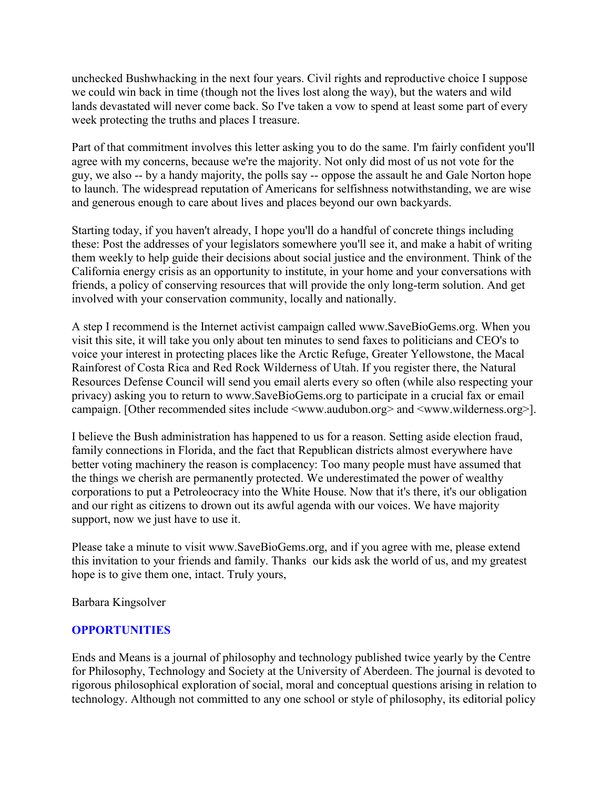unchecked Bushwhacking in the next four years. Civil rights and reproductive choice I suppose we could win back in time (though not the lives lost along the way), but the waters and wild lands devastated will never come back. So I've taken a vow to spend at least some part of every week protecting the truths and places I treasure.

Part of that commitment involves this letter asking you to do the same. I'm fairly confident you'll agree with my concerns, because we're the majority. Not only did most of us not vote for the guy, we also -- by a handy majority, the polls say -- oppose the assault he and Gale Norton hope to launch. The widespread reputation of Americans for selfishness notwithstanding, we are wise and generous enough to care about lives and places beyond our own backyards.

Starting today, if you haven't already, I hope you'll do a handful of concrete things including these: Post the addresses of your legislators somewhere you'll see it, and make a habit of writing them weekly to help guide their decisions about social justice and the environment. Think of the California energy crisis as an opportunity to institute, in your home and your conversations with friends, a policy of conserving resources that will provide the only long-term solution. And get involved with your conservation community, locally and nationally.

A step I recommend is the Internet activist campaign called www.SaveBioGems.org. When you visit this site, it will take you only about ten minutes to send faxes to politicians and CEO's to voice your interest in protecting places like the Arctic Refuge, Greater Yellowstone, the Macal Rainforest of Costa Rica and Red Rock Wilderness of Utah. If you register there, the Natural Resources Defense Council will send you email alerts every so often (while also respecting your privacy) asking you to return to www.SaveBioGems.org to participate in a crucial fax or email campaign. [Other recommended sites include  $\langle$ www.audubon.org> and  $\langle$ www.wilderness.org>].

I believe the Bush administration has happened to us for a reason. Setting aside election fraud, family connections in Florida, and the fact that Republican districts almost everywhere have better voting machinery the reason is complacency: Too many people must have assumed that the things we cherish are permanently protected. We underestimated the power of wealthy corporations to put a Petroleocracy into the White House. Now that it's there, it's our obligation and our right as citizens to drown out its awful agenda with our voices. We have majority support, now we just have to use it.

Please take a minute to visit www.SaveBioGems.org, and if you agree with me, please extend this invitation to your friends and family. Thanks our kids ask the world of us, and my greatest hope is to give them one, intact. Truly yours,

Barbara Kingsolver

## **OPPORTUNITIES**

Ends and Means is a journal of philosophy and technology published twice yearly by the Centre for Philosophy, Technology and Society at the University of Aberdeen. The journal is devoted to rigorous philosophical exploration of social, moral and conceptual questions arising in relation to technology. Although not committed to any one school or style of philosophy, its editorial policy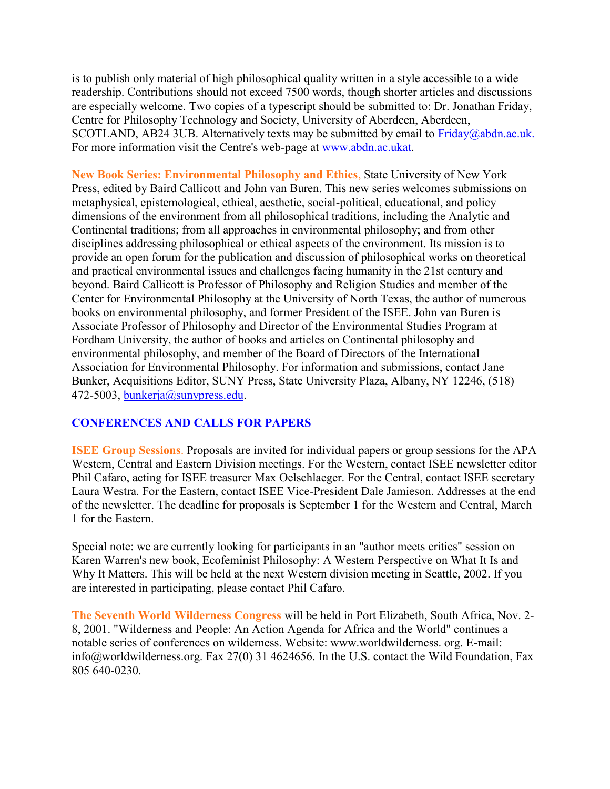is to publish only material of high philosophical quality written in a style accessible to a wide readership. Contributions should not exceed 7500 words, though shorter articles and discussions are especially welcome. Two copies of a typescript should be submitted to: Dr. Jonathan Friday, Centre for Philosophy Technology and Society, University of Aberdeen, Aberdeen, SCOTLAND, AB24 3UB. Alternatively texts may be submitted by email to  $Friday@abdn.ac.uk$ . For more information visit the Centre's web-page at [www.abdn.ac.ukat.](http://www.abdn.ac.ukat/)

**New Book Series: Environmental Philosophy and Ethics**, State University of New York Press, edited by Baird Callicott and John van Buren. This new series welcomes submissions on metaphysical, epistemological, ethical, aesthetic, social-political, educational, and policy dimensions of the environment from all philosophical traditions, including the Analytic and Continental traditions; from all approaches in environmental philosophy; and from other disciplines addressing philosophical or ethical aspects of the environment. Its mission is to provide an open forum for the publication and discussion of philosophical works on theoretical and practical environmental issues and challenges facing humanity in the 21st century and beyond. Baird Callicott is Professor of Philosophy and Religion Studies and member of the Center for Environmental Philosophy at the University of North Texas, the author of numerous books on environmental philosophy, and former President of the ISEE. John van Buren is Associate Professor of Philosophy and Director of the Environmental Studies Program at Fordham University, the author of books and articles on Continental philosophy and environmental philosophy, and member of the Board of Directors of the International Association for Environmental Philosophy. For information and submissions, contact Jane Bunker, Acquisitions Editor, SUNY Press, State University Plaza, Albany, NY 12246, (518) 472-5003, [bunkerja@sunypress.edu.](mailto:bunkerja@sunypress.edu)

## **CONFERENCES AND CALLS FOR PAPERS**

**ISEE Group Sessions**. Proposals are invited for individual papers or group sessions for the APA Western, Central and Eastern Division meetings. For the Western, contact ISEE newsletter editor Phil Cafaro, acting for ISEE treasurer Max Oelschlaeger. For the Central, contact ISEE secretary Laura Westra. For the Eastern, contact ISEE Vice-President Dale Jamieson. Addresses at the end of the newsletter. The deadline for proposals is September 1 for the Western and Central, March 1 for the Eastern.

Special note: we are currently looking for participants in an "author meets critics" session on Karen Warren's new book, Ecofeminist Philosophy: A Western Perspective on What It Is and Why It Matters. This will be held at the next Western division meeting in Seattle, 2002. If you are interested in participating, please contact Phil Cafaro.

**The Seventh World Wilderness Congress** will be held in Port Elizabeth, South Africa, Nov. 2- 8, 2001. "Wilderness and People: An Action Agenda for Africa and the World" continues a notable series of conferences on wilderness. Website: www.worldwilderness. org. E-mail: info@worldwilderness.org. Fax 27(0) 31 4624656. In the U.S. contact the Wild Foundation, Fax 805 640-0230.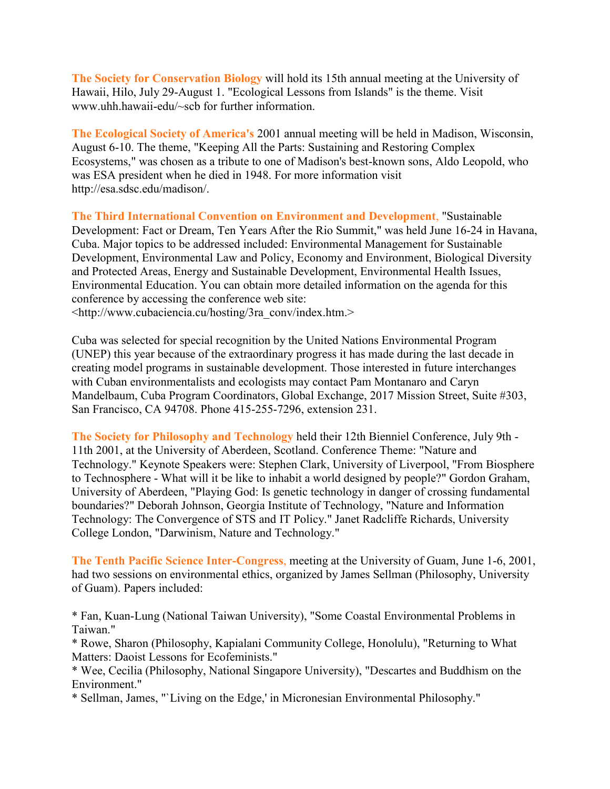**The Society for Conservation Biology** will hold its 15th annual meeting at the University of Hawaii, Hilo, July 29-August 1. "Ecological Lessons from Islands" is the theme. Visit www.uhh.hawaii-edu/~scb for further information.

**The Ecological Society of America's** 2001 annual meeting will be held in Madison, Wisconsin, August 6-10. The theme, "Keeping All the Parts: Sustaining and Restoring Complex Ecosystems," was chosen as a tribute to one of Madison's best-known sons, Aldo Leopold, who was ESA president when he died in 1948. For more information visit http://esa.sdsc.edu/madison/.

**The Third International Convention on Environment and Development**, "Sustainable Development: Fact or Dream, Ten Years After the Rio Summit," was held June 16-24 in Havana, Cuba. Major topics to be addressed included: Environmental Management for Sustainable Development, Environmental Law and Policy, Economy and Environment, Biological Diversity and Protected Areas, Energy and Sustainable Development, Environmental Health Issues, Environmental Education. You can obtain more detailed information on the agenda for this conference by accessing the conference web site:

<http://www.cubaciencia.cu/hosting/3ra\_conv/index.htm.>

Cuba was selected for special recognition by the United Nations Environmental Program (UNEP) this year because of the extraordinary progress it has made during the last decade in creating model programs in sustainable development. Those interested in future interchanges with Cuban environmentalists and ecologists may contact Pam Montanaro and Caryn Mandelbaum, Cuba Program Coordinators, Global Exchange, 2017 Mission Street, Suite #303, San Francisco, CA 94708. Phone 415-255-7296, extension 231.

**The Society for Philosophy and Technology** held their 12th Bienniel Conference, July 9th - 11th 2001, at the University of Aberdeen, Scotland. Conference Theme: "Nature and Technology." Keynote Speakers were: Stephen Clark, University of Liverpool, "From Biosphere to Technosphere - What will it be like to inhabit a world designed by people?" Gordon Graham, University of Aberdeen, "Playing God: Is genetic technology in danger of crossing fundamental boundaries?" Deborah Johnson, Georgia Institute of Technology, "Nature and Information Technology: The Convergence of STS and IT Policy." Janet Radcliffe Richards, University College London, "Darwinism, Nature and Technology."

**The Tenth Pacific Science Inter-Congress**, meeting at the University of Guam, June 1-6, 2001, had two sessions on environmental ethics, organized by James Sellman (Philosophy, University of Guam). Papers included:

\* Fan, Kuan-Lung (National Taiwan University), "Some Coastal Environmental Problems in Taiwan."

\* Rowe, Sharon (Philosophy, Kapialani Community College, Honolulu), "Returning to What Matters: Daoist Lessons for Ecofeminists."

\* Wee, Cecilia (Philosophy, National Singapore University), "Descartes and Buddhism on the Environment."

\* Sellman, James, "`Living on the Edge,' in Micronesian Environmental Philosophy."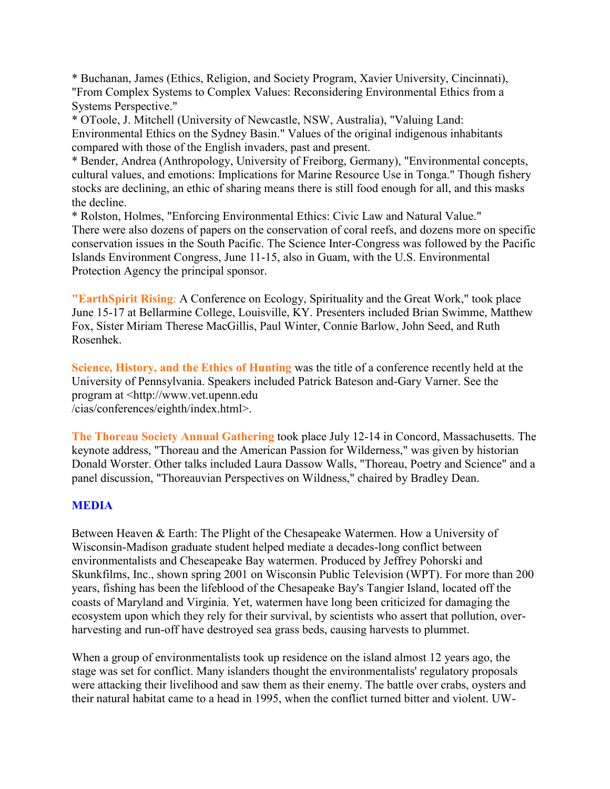\* Buchanan, James (Ethics, Religion, and Society Program, Xavier University, Cincinnati), "From Complex Systems to Complex Values: Reconsidering Environmental Ethics from a Systems Perspective."

\* OToole, J. Mitchell (University of Newcastle, NSW, Australia), "Valuing Land: Environmental Ethics on the Sydney Basin." Values of the original indigenous inhabitants compared with those of the English invaders, past and present.

\* Bender, Andrea (Anthropology, University of Freiborg, Germany), "Environmental concepts, cultural values, and emotions: Implications for Marine Resource Use in Tonga." Though fishery stocks are declining, an ethic of sharing means there is still food enough for all, and this masks the decline.

\* Rolston, Holmes, "Enforcing Environmental Ethics: Civic Law and Natural Value." There were also dozens of papers on the conservation of coral reefs, and dozens more on specific conservation issues in the South Pacific. The Science Inter-Congress was followed by the Pacific Islands Environment Congress, June 11-15, also in Guam, with the U.S. Environmental Protection Agency the principal sponsor.

**"EarthSpirit Rising**: A Conference on Ecology, Spirituality and the Great Work," took place June 15-17 at Bellarmine College, Louisville, KY. Presenters included Brian Swimme, Matthew Fox, Sister Miriam Therese MacGillis, Paul Winter, Connie Barlow, John Seed, and Ruth Rosenhek.

**Science, History, and the Ethics of Hunting** was the title of a conference recently held at the University of Pennsylvania. Speakers included Patrick Bateson and-Gary Varner. See the program at <http://www.vet.upenn.edu /cias/conferences/eighth/index.html>.

**The Thoreau Society Annual Gathering** took place July 12-14 in Concord, Massachusetts. The keynote address, "Thoreau and the American Passion for Wilderness," was given by historian Donald Worster. Other talks included Laura Dassow Walls, "Thoreau, Poetry and Science" and a panel discussion, "Thoreauvian Perspectives on Wildness," chaired by Bradley Dean.

## **MEDIA**

Between Heaven & Earth: The Plight of the Chesapeake Watermen. How a University of Wisconsin-Madison graduate student helped mediate a decades-long conflict between environmentalists and Cheseapeake Bay watermen. Produced by Jeffrey Pohorski and Skunkfilms, Inc., shown spring 2001 on Wisconsin Public Television (WPT). For more than 200 years, fishing has been the lifeblood of the Chesapeake Bay's Tangier Island, located off the coasts of Maryland and Virginia. Yet, watermen have long been criticized for damaging the ecosystem upon which they rely for their survival, by scientists who assert that pollution, overharvesting and run-off have destroyed sea grass beds, causing harvests to plummet.

When a group of environmentalists took up residence on the island almost 12 years ago, the stage was set for conflict. Many islanders thought the environmentalists' regulatory proposals were attacking their livelihood and saw them as their enemy. The battle over crabs, oysters and their natural habitat came to a head in 1995, when the conflict turned bitter and violent. UW-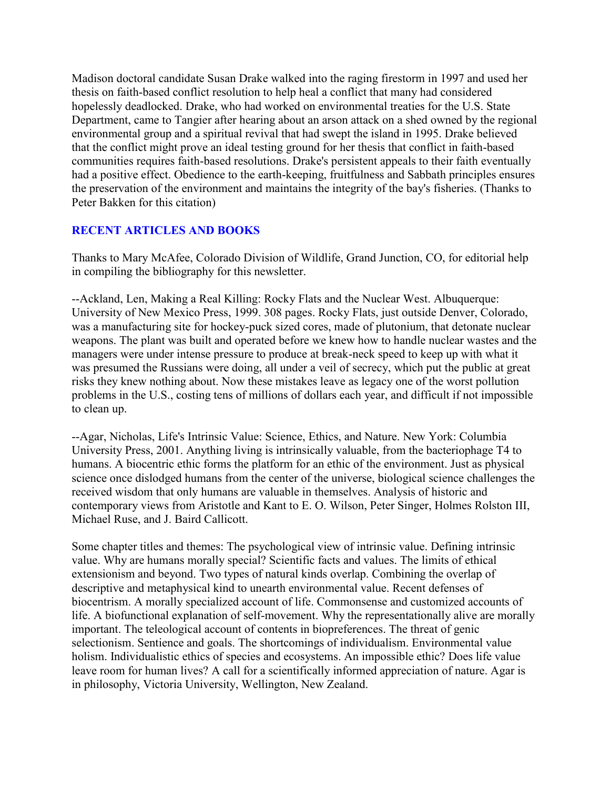Madison doctoral candidate Susan Drake walked into the raging firestorm in 1997 and used her thesis on faith-based conflict resolution to help heal a conflict that many had considered hopelessly deadlocked. Drake, who had worked on environmental treaties for the U.S. State Department, came to Tangier after hearing about an arson attack on a shed owned by the regional environmental group and a spiritual revival that had swept the island in 1995. Drake believed that the conflict might prove an ideal testing ground for her thesis that conflict in faith-based communities requires faith-based resolutions. Drake's persistent appeals to their faith eventually had a positive effect. Obedience to the earth-keeping, fruitfulness and Sabbath principles ensures the preservation of the environment and maintains the integrity of the bay's fisheries. (Thanks to Peter Bakken for this citation)

# **RECENT ARTICLES AND BOOKS**

Thanks to Mary McAfee, Colorado Division of Wildlife, Grand Junction, CO, for editorial help in compiling the bibliography for this newsletter.

--Ackland, Len, Making a Real Killing: Rocky Flats and the Nuclear West. Albuquerque: University of New Mexico Press, 1999. 308 pages. Rocky Flats, just outside Denver, Colorado, was a manufacturing site for hockey-puck sized cores, made of plutonium, that detonate nuclear weapons. The plant was built and operated before we knew how to handle nuclear wastes and the managers were under intense pressure to produce at break-neck speed to keep up with what it was presumed the Russians were doing, all under a veil of secrecy, which put the public at great risks they knew nothing about. Now these mistakes leave as legacy one of the worst pollution problems in the U.S., costing tens of millions of dollars each year, and difficult if not impossible to clean up.

--Agar, Nicholas, Life's Intrinsic Value: Science, Ethics, and Nature. New York: Columbia University Press, 2001. Anything living is intrinsically valuable, from the bacteriophage T4 to humans. A biocentric ethic forms the platform for an ethic of the environment. Just as physical science once dislodged humans from the center of the universe, biological science challenges the received wisdom that only humans are valuable in themselves. Analysis of historic and contemporary views from Aristotle and Kant to E. O. Wilson, Peter Singer, Holmes Rolston III, Michael Ruse, and J. Baird Callicott.

Some chapter titles and themes: The psychological view of intrinsic value. Defining intrinsic value. Why are humans morally special? Scientific facts and values. The limits of ethical extensionism and beyond. Two types of natural kinds overlap. Combining the overlap of descriptive and metaphysical kind to unearth environmental value. Recent defenses of biocentrism. A morally specialized account of life. Commonsense and customized accounts of life. A biofunctional explanation of self-movement. Why the representationally alive are morally important. The teleological account of contents in biopreferences. The threat of genic selectionism. Sentience and goals. The shortcomings of individualism. Environmental value holism. Individualistic ethics of species and ecosystems. An impossible ethic? Does life value leave room for human lives? A call for a scientifically informed appreciation of nature. Agar is in philosophy, Victoria University, Wellington, New Zealand.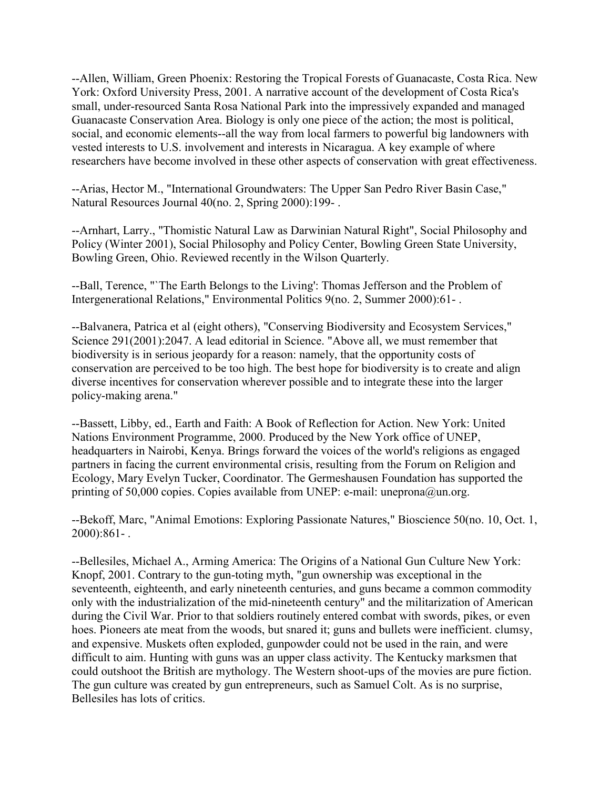--Allen, William, Green Phoenix: Restoring the Tropical Forests of Guanacaste, Costa Rica. New York: Oxford University Press, 2001. A narrative account of the development of Costa Rica's small, under-resourced Santa Rosa National Park into the impressively expanded and managed Guanacaste Conservation Area. Biology is only one piece of the action; the most is political, social, and economic elements--all the way from local farmers to powerful big landowners with vested interests to U.S. involvement and interests in Nicaragua. A key example of where researchers have become involved in these other aspects of conservation with great effectiveness.

--Arias, Hector M., "International Groundwaters: The Upper San Pedro River Basin Case," Natural Resources Journal 40(no. 2, Spring 2000):199- .

--Arnhart, Larry., "Thomistic Natural Law as Darwinian Natural Right", Social Philosophy and Policy (Winter 2001), Social Philosophy and Policy Center, Bowling Green State University, Bowling Green, Ohio. Reviewed recently in the Wilson Quarterly.

--Ball, Terence, "`The Earth Belongs to the Living': Thomas Jefferson and the Problem of Intergenerational Relations," Environmental Politics 9(no. 2, Summer 2000):61- .

--Balvanera, Patrica et al (eight others), "Conserving Biodiversity and Ecosystem Services," Science 291(2001):2047. A lead editorial in Science. "Above all, we must remember that biodiversity is in serious jeopardy for a reason: namely, that the opportunity costs of conservation are perceived to be too high. The best hope for biodiversity is to create and align diverse incentives for conservation wherever possible and to integrate these into the larger policy-making arena."

--Bassett, Libby, ed., Earth and Faith: A Book of Reflection for Action. New York: United Nations Environment Programme, 2000. Produced by the New York office of UNEP, headquarters in Nairobi, Kenya. Brings forward the voices of the world's religions as engaged partners in facing the current environmental crisis, resulting from the Forum on Religion and Ecology, Mary Evelyn Tucker, Coordinator. The Germeshausen Foundation has supported the printing of 50,000 copies. Copies available from UNEP: e-mail: uneprona@un.org.

--Bekoff, Marc, "Animal Emotions: Exploring Passionate Natures," Bioscience 50(no. 10, Oct. 1, 2000):861- .

--Bellesiles, Michael A., Arming America: The Origins of a National Gun Culture New York: Knopf, 2001. Contrary to the gun-toting myth, "gun ownership was exceptional in the seventeenth, eighteenth, and early nineteenth centuries, and guns became a common commodity only with the industrialization of the mid-nineteenth century" and the militarization of American during the Civil War. Prior to that soldiers routinely entered combat with swords, pikes, or even hoes. Pioneers ate meat from the woods, but snared it; guns and bullets were inefficient. clumsy, and expensive. Muskets often exploded, gunpowder could not be used in the rain, and were difficult to aim. Hunting with guns was an upper class activity. The Kentucky marksmen that could outshoot the British are mythology. The Western shoot-ups of the movies are pure fiction. The gun culture was created by gun entrepreneurs, such as Samuel Colt. As is no surprise, Bellesiles has lots of critics.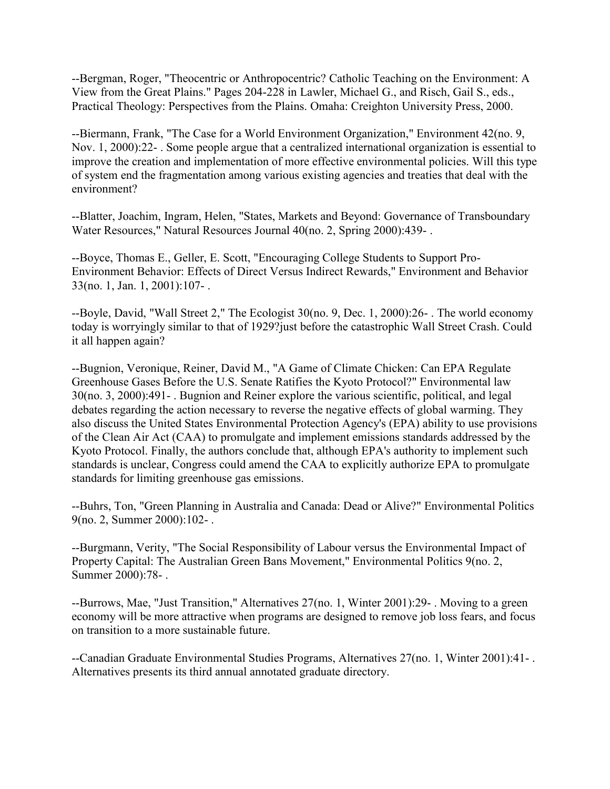--Bergman, Roger, "Theocentric or Anthropocentric? Catholic Teaching on the Environment: A View from the Great Plains." Pages 204-228 in Lawler, Michael G., and Risch, Gail S., eds., Practical Theology: Perspectives from the Plains. Omaha: Creighton University Press, 2000.

--Biermann, Frank, "The Case for a World Environment Organization," Environment 42(no. 9, Nov. 1, 2000):22- . Some people argue that a centralized international organization is essential to improve the creation and implementation of more effective environmental policies. Will this type of system end the fragmentation among various existing agencies and treaties that deal with the environment?

--Blatter, Joachim, Ingram, Helen, "States, Markets and Beyond: Governance of Transboundary Water Resources," Natural Resources Journal 40(no. 2, Spring 2000):439- .

--Boyce, Thomas E., Geller, E. Scott, "Encouraging College Students to Support Pro-Environment Behavior: Effects of Direct Versus Indirect Rewards," Environment and Behavior 33(no. 1, Jan. 1, 2001):107- .

--Boyle, David, "Wall Street 2," The Ecologist 30(no. 9, Dec. 1, 2000):26- . The world economy today is worryingly similar to that of 1929?just before the catastrophic Wall Street Crash. Could it all happen again?

--Bugnion, Veronique, Reiner, David M., "A Game of Climate Chicken: Can EPA Regulate Greenhouse Gases Before the U.S. Senate Ratifies the Kyoto Protocol?" Environmental law 30(no. 3, 2000):491- . Bugnion and Reiner explore the various scientific, political, and legal debates regarding the action necessary to reverse the negative effects of global warming. They also discuss the United States Environmental Protection Agency's (EPA) ability to use provisions of the Clean Air Act (CAA) to promulgate and implement emissions standards addressed by the Kyoto Protocol. Finally, the authors conclude that, although EPA's authority to implement such standards is unclear, Congress could amend the CAA to explicitly authorize EPA to promulgate standards for limiting greenhouse gas emissions.

--Buhrs, Ton, "Green Planning in Australia and Canada: Dead or Alive?" Environmental Politics 9(no. 2, Summer 2000):102- .

--Burgmann, Verity, "The Social Responsibility of Labour versus the Environmental Impact of Property Capital: The Australian Green Bans Movement," Environmental Politics 9(no. 2, Summer 2000):78- .

--Burrows, Mae, "Just Transition," Alternatives 27(no. 1, Winter 2001):29- . Moving to a green economy will be more attractive when programs are designed to remove job loss fears, and focus on transition to a more sustainable future.

--Canadian Graduate Environmental Studies Programs, Alternatives 27(no. 1, Winter 2001):41- . Alternatives presents its third annual annotated graduate directory.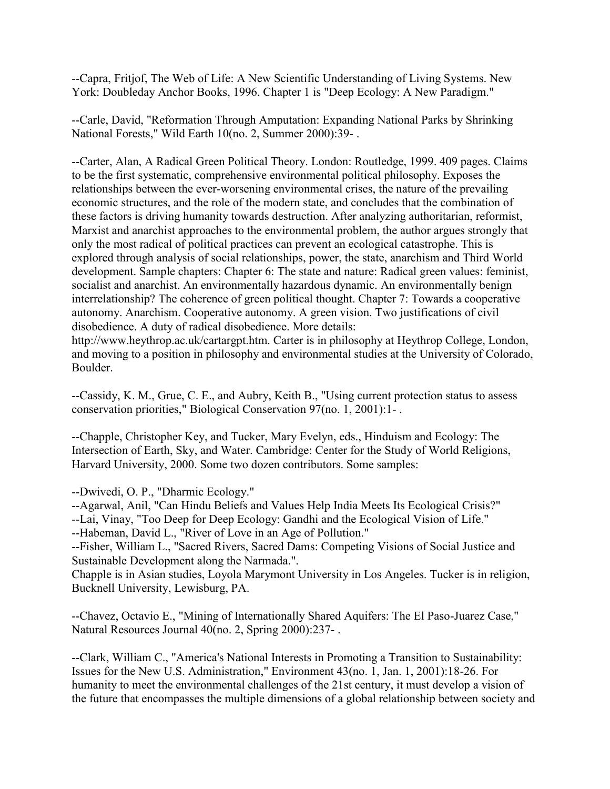--Capra, Fritjof, The Web of Life: A New Scientific Understanding of Living Systems. New York: Doubleday Anchor Books, 1996. Chapter 1 is "Deep Ecology: A New Paradigm."

--Carle, David, "Reformation Through Amputation: Expanding National Parks by Shrinking National Forests," Wild Earth 10(no. 2, Summer 2000):39- .

--Carter, Alan, A Radical Green Political Theory. London: Routledge, 1999. 409 pages. Claims to be the first systematic, comprehensive environmental political philosophy. Exposes the relationships between the ever-worsening environmental crises, the nature of the prevailing economic structures, and the role of the modern state, and concludes that the combination of these factors is driving humanity towards destruction. After analyzing authoritarian, reformist, Marxist and anarchist approaches to the environmental problem, the author argues strongly that only the most radical of political practices can prevent an ecological catastrophe. This is explored through analysis of social relationships, power, the state, anarchism and Third World development. Sample chapters: Chapter 6: The state and nature: Radical green values: feminist, socialist and anarchist. An environmentally hazardous dynamic. An environmentally benign interrelationship? The coherence of green political thought. Chapter 7: Towards a cooperative autonomy. Anarchism. Cooperative autonomy. A green vision. Two justifications of civil disobedience. A duty of radical disobedience. More details:

http://www.heythrop.ac.uk/cartargpt.htm. Carter is in philosophy at Heythrop College, London, and moving to a position in philosophy and environmental studies at the University of Colorado, Boulder.

--Cassidy, K. M., Grue, C. E., and Aubry, Keith B., "Using current protection status to assess conservation priorities," Biological Conservation 97(no. 1, 2001):1- .

--Chapple, Christopher Key, and Tucker, Mary Evelyn, eds., Hinduism and Ecology: The Intersection of Earth, Sky, and Water. Cambridge: Center for the Study of World Religions, Harvard University, 2000. Some two dozen contributors. Some samples:

--Dwivedi, O. P., "Dharmic Ecology."

--Agarwal, Anil, "Can Hindu Beliefs and Values Help India Meets Its Ecological Crisis?"

--Lai, Vinay, "Too Deep for Deep Ecology: Gandhi and the Ecological Vision of Life."

--Habeman, David L., "River of Love in an Age of Pollution."

--Fisher, William L., "Sacred Rivers, Sacred Dams: Competing Visions of Social Justice and Sustainable Development along the Narmada.".

Chapple is in Asian studies, Loyola Marymont University in Los Angeles. Tucker is in religion, Bucknell University, Lewisburg, PA.

--Chavez, Octavio E., "Mining of Internationally Shared Aquifers: The El Paso-Juarez Case," Natural Resources Journal 40(no. 2, Spring 2000):237- .

--Clark, William C., "America's National Interests in Promoting a Transition to Sustainability: Issues for the New U.S. Administration," Environment 43(no. 1, Jan. 1, 2001):18-26. For humanity to meet the environmental challenges of the 21st century, it must develop a vision of the future that encompasses the multiple dimensions of a global relationship between society and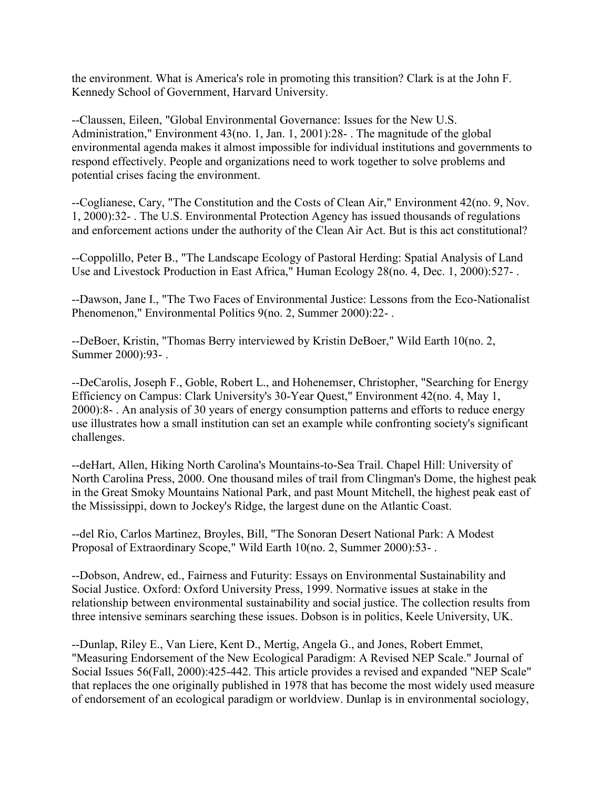the environment. What is America's role in promoting this transition? Clark is at the John F. Kennedy School of Government, Harvard University.

--Claussen, Eileen, "Global Environmental Governance: Issues for the New U.S. Administration," Environment 43(no. 1, Jan. 1, 2001):28- . The magnitude of the global environmental agenda makes it almost impossible for individual institutions and governments to respond effectively. People and organizations need to work together to solve problems and potential crises facing the environment.

--Coglianese, Cary, "The Constitution and the Costs of Clean Air," Environment 42(no. 9, Nov. 1, 2000):32- . The U.S. Environmental Protection Agency has issued thousands of regulations and enforcement actions under the authority of the Clean Air Act. But is this act constitutional?

--Coppolillo, Peter B., "The Landscape Ecology of Pastoral Herding: Spatial Analysis of Land Use and Livestock Production in East Africa," Human Ecology 28(no. 4, Dec. 1, 2000):527- .

--Dawson, Jane I., "The Two Faces of Environmental Justice: Lessons from the Eco-Nationalist Phenomenon," Environmental Politics 9(no. 2, Summer 2000):22- .

--DeBoer, Kristin, "Thomas Berry interviewed by Kristin DeBoer," Wild Earth 10(no. 2, Summer 2000):93- .

--DeCarolis, Joseph F., Goble, Robert L., and Hohenemser, Christopher, "Searching for Energy Efficiency on Campus: Clark University's 30-Year Quest," Environment 42(no. 4, May 1, 2000):8- . An analysis of 30 years of energy consumption patterns and efforts to reduce energy use illustrates how a small institution can set an example while confronting society's significant challenges.

--deHart, Allen, Hiking North Carolina's Mountains-to-Sea Trail. Chapel Hill: University of North Carolina Press, 2000. One thousand miles of trail from Clingman's Dome, the highest peak in the Great Smoky Mountains National Park, and past Mount Mitchell, the highest peak east of the Mississippi, down to Jockey's Ridge, the largest dune on the Atlantic Coast.

--del Rio, Carlos Martinez, Broyles, Bill, "The Sonoran Desert National Park: A Modest Proposal of Extraordinary Scope," Wild Earth 10(no. 2, Summer 2000):53- .

--Dobson, Andrew, ed., Fairness and Futurity: Essays on Environmental Sustainability and Social Justice. Oxford: Oxford University Press, 1999. Normative issues at stake in the relationship between environmental sustainability and social justice. The collection results from three intensive seminars searching these issues. Dobson is in politics, Keele University, UK.

--Dunlap, Riley E., Van Liere, Kent D., Mertig, Angela G., and Jones, Robert Emmet, "Measuring Endorsement of the New Ecological Paradigm: A Revised NEP Scale." Journal of Social Issues 56(Fall, 2000):425-442. This article provides a revised and expanded "NEP Scale" that replaces the one originally published in 1978 that has become the most widely used measure of endorsement of an ecological paradigm or worldview. Dunlap is in environmental sociology,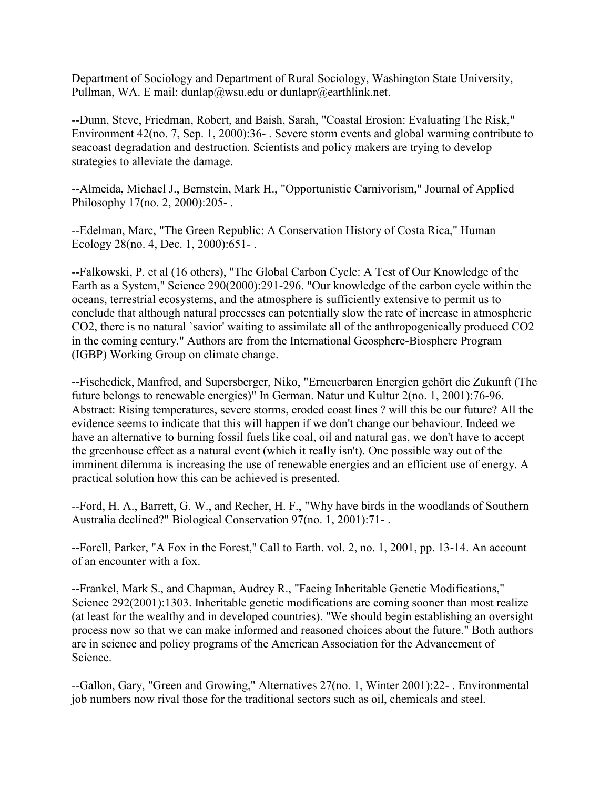Department of Sociology and Department of Rural Sociology, Washington State University, Pullman, WA. E mail: dunlap@wsu.edu or dunlapr@earthlink.net.

--Dunn, Steve, Friedman, Robert, and Baish, Sarah, "Coastal Erosion: Evaluating The Risk," Environment 42(no. 7, Sep. 1, 2000):36- . Severe storm events and global warming contribute to seacoast degradation and destruction. Scientists and policy makers are trying to develop strategies to alleviate the damage.

--Almeida, Michael J., Bernstein, Mark H., "Opportunistic Carnivorism," Journal of Applied Philosophy 17(no. 2, 2000):205- .

--Edelman, Marc, "The Green Republic: A Conservation History of Costa Rica," Human Ecology 28(no. 4, Dec. 1, 2000):651- .

--Falkowski, P. et al (16 others), "The Global Carbon Cycle: A Test of Our Knowledge of the Earth as a System," Science 290(2000):291-296. "Our knowledge of the carbon cycle within the oceans, terrestrial ecosystems, and the atmosphere is sufficiently extensive to permit us to conclude that although natural processes can potentially slow the rate of increase in atmospheric CO2, there is no natural `savior' waiting to assimilate all of the anthropogenically produced CO2 in the coming century." Authors are from the International Geosphere-Biosphere Program (IGBP) Working Group on climate change.

--Fischedick, Manfred, and Supersberger, Niko, "Erneuerbaren Energien gehört die Zukunft (The future belongs to renewable energies)" In German. Natur und Kultur 2(no. 1, 2001):76-96. Abstract: Rising temperatures, severe storms, eroded coast lines ? will this be our future? All the evidence seems to indicate that this will happen if we don't change our behaviour. Indeed we have an alternative to burning fossil fuels like coal, oil and natural gas, we don't have to accept the greenhouse effect as a natural event (which it really isn't). One possible way out of the imminent dilemma is increasing the use of renewable energies and an efficient use of energy. A practical solution how this can be achieved is presented.

--Ford, H. A., Barrett, G. W., and Recher, H. F., "Why have birds in the woodlands of Southern Australia declined?" Biological Conservation 97(no. 1, 2001):71- .

--Forell, Parker, "A Fox in the Forest," Call to Earth. vol. 2, no. 1, 2001, pp. 13-14. An account of an encounter with a fox.

--Frankel, Mark S., and Chapman, Audrey R., "Facing Inheritable Genetic Modifications," Science 292(2001):1303. Inheritable genetic modifications are coming sooner than most realize (at least for the wealthy and in developed countries). "We should begin establishing an oversight process now so that we can make informed and reasoned choices about the future." Both authors are in science and policy programs of the American Association for the Advancement of Science.

--Gallon, Gary, "Green and Growing," Alternatives 27(no. 1, Winter 2001):22- . Environmental job numbers now rival those for the traditional sectors such as oil, chemicals and steel.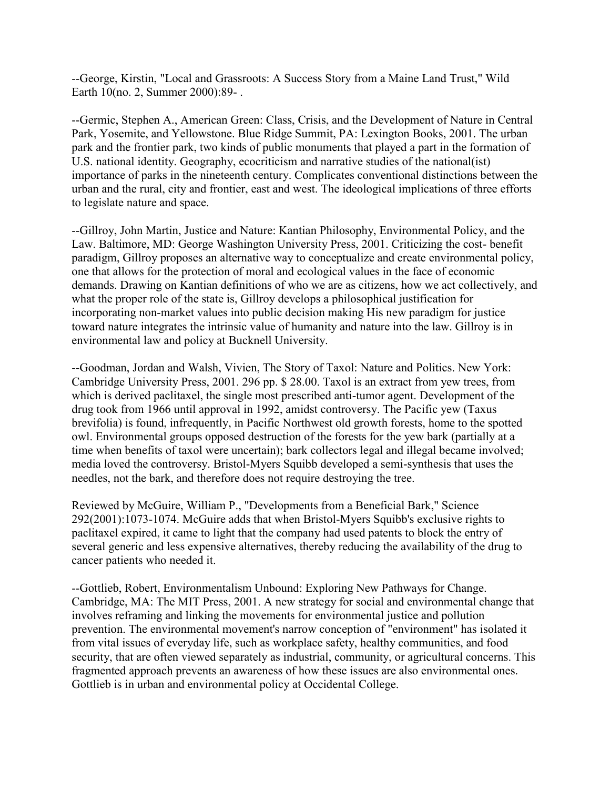--George, Kirstin, "Local and Grassroots: A Success Story from a Maine Land Trust," Wild Earth 10(no. 2, Summer 2000):89- .

--Germic, Stephen A., American Green: Class, Crisis, and the Development of Nature in Central Park, Yosemite, and Yellowstone. Blue Ridge Summit, PA: Lexington Books, 2001. The urban park and the frontier park, two kinds of public monuments that played a part in the formation of U.S. national identity. Geography, ecocriticism and narrative studies of the national(ist) importance of parks in the nineteenth century. Complicates conventional distinctions between the urban and the rural, city and frontier, east and west. The ideological implications of three efforts to legislate nature and space.

--Gillroy, John Martin, Justice and Nature: Kantian Philosophy, Environmental Policy, and the Law. Baltimore, MD: George Washington University Press, 2001. Criticizing the cost- benefit paradigm, Gillroy proposes an alternative way to conceptualize and create environmental policy, one that allows for the protection of moral and ecological values in the face of economic demands. Drawing on Kantian definitions of who we are as citizens, how we act collectively, and what the proper role of the state is, Gillroy develops a philosophical justification for incorporating non-market values into public decision making His new paradigm for justice toward nature integrates the intrinsic value of humanity and nature into the law. Gillroy is in environmental law and policy at Bucknell University.

--Goodman, Jordan and Walsh, Vivien, The Story of Taxol: Nature and Politics. New York: Cambridge University Press, 2001. 296 pp. \$ 28.00. Taxol is an extract from yew trees, from which is derived paclitaxel, the single most prescribed anti-tumor agent. Development of the drug took from 1966 until approval in 1992, amidst controversy. The Pacific yew (Taxus brevifolia) is found, infrequently, in Pacific Northwest old growth forests, home to the spotted owl. Environmental groups opposed destruction of the forests for the yew bark (partially at a time when benefits of taxol were uncertain); bark collectors legal and illegal became involved; media loved the controversy. Bristol-Myers Squibb developed a semi-synthesis that uses the needles, not the bark, and therefore does not require destroying the tree.

Reviewed by McGuire, William P., "Developments from a Beneficial Bark," Science 292(2001):1073-1074. McGuire adds that when Bristol-Myers Squibb's exclusive rights to paclitaxel expired, it came to light that the company had used patents to block the entry of several generic and less expensive alternatives, thereby reducing the availability of the drug to cancer patients who needed it.

--Gottlieb, Robert, Environmentalism Unbound: Exploring New Pathways for Change. Cambridge, MA: The MIT Press, 2001. A new strategy for social and environmental change that involves reframing and linking the movements for environmental justice and pollution prevention. The environmental movement's narrow conception of "environment" has isolated it from vital issues of everyday life, such as workplace safety, healthy communities, and food security, that are often viewed separately as industrial, community, or agricultural concerns. This fragmented approach prevents an awareness of how these issues are also environmental ones. Gottlieb is in urban and environmental policy at Occidental College.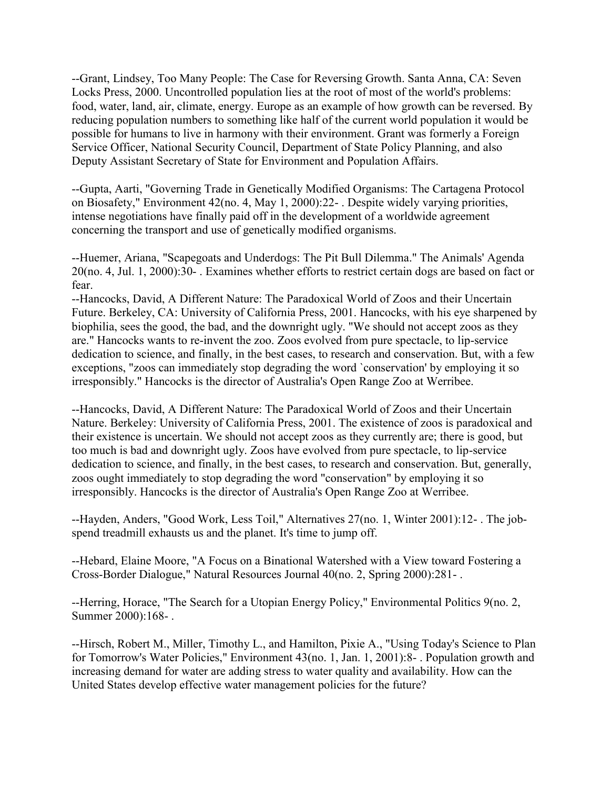--Grant, Lindsey, Too Many People: The Case for Reversing Growth. Santa Anna, CA: Seven Locks Press, 2000. Uncontrolled population lies at the root of most of the world's problems: food, water, land, air, climate, energy. Europe as an example of how growth can be reversed. By reducing population numbers to something like half of the current world population it would be possible for humans to live in harmony with their environment. Grant was formerly a Foreign Service Officer, National Security Council, Department of State Policy Planning, and also Deputy Assistant Secretary of State for Environment and Population Affairs.

--Gupta, Aarti, "Governing Trade in Genetically Modified Organisms: The Cartagena Protocol on Biosafety," Environment 42(no. 4, May 1, 2000):22- . Despite widely varying priorities, intense negotiations have finally paid off in the development of a worldwide agreement concerning the transport and use of genetically modified organisms.

--Huemer, Ariana, "Scapegoats and Underdogs: The Pit Bull Dilemma." The Animals' Agenda 20(no. 4, Jul. 1, 2000):30- . Examines whether efforts to restrict certain dogs are based on fact or fear.

--Hancocks, David, A Different Nature: The Paradoxical World of Zoos and their Uncertain Future. Berkeley, CA: University of California Press, 2001. Hancocks, with his eye sharpened by biophilia, sees the good, the bad, and the downright ugly. "We should not accept zoos as they are." Hancocks wants to re-invent the zoo. Zoos evolved from pure spectacle, to lip-service dedication to science, and finally, in the best cases, to research and conservation. But, with a few exceptions, "zoos can immediately stop degrading the word `conservation' by employing it so irresponsibly." Hancocks is the director of Australia's Open Range Zoo at Werribee.

--Hancocks, David, A Different Nature: The Paradoxical World of Zoos and their Uncertain Nature. Berkeley: University of California Press, 2001. The existence of zoos is paradoxical and their existence is uncertain. We should not accept zoos as they currently are; there is good, but too much is bad and downright ugly. Zoos have evolved from pure spectacle, to lip-service dedication to science, and finally, in the best cases, to research and conservation. But, generally, zoos ought immediately to stop degrading the word "conservation" by employing it so irresponsibly. Hancocks is the director of Australia's Open Range Zoo at Werribee.

--Hayden, Anders, "Good Work, Less Toil," Alternatives 27(no. 1, Winter 2001):12- . The jobspend treadmill exhausts us and the planet. It's time to jump off.

--Hebard, Elaine Moore, "A Focus on a Binational Watershed with a View toward Fostering a Cross-Border Dialogue," Natural Resources Journal 40(no. 2, Spring 2000):281- .

--Herring, Horace, "The Search for a Utopian Energy Policy," Environmental Politics 9(no. 2, Summer 2000):168- .

--Hirsch, Robert M., Miller, Timothy L., and Hamilton, Pixie A., "Using Today's Science to Plan for Tomorrow's Water Policies," Environment 43(no. 1, Jan. 1, 2001):8- . Population growth and increasing demand for water are adding stress to water quality and availability. How can the United States develop effective water management policies for the future?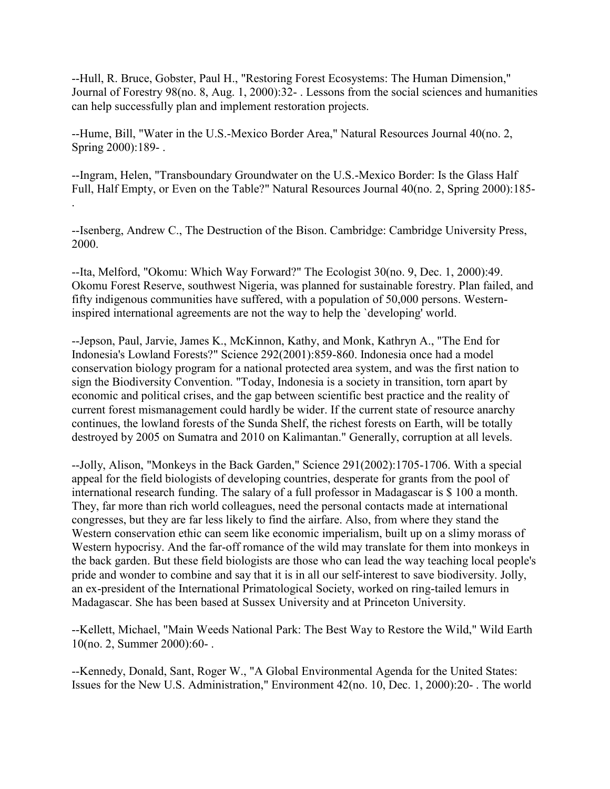--Hull, R. Bruce, Gobster, Paul H., "Restoring Forest Ecosystems: The Human Dimension," Journal of Forestry 98(no. 8, Aug. 1, 2000):32- . Lessons from the social sciences and humanities can help successfully plan and implement restoration projects.

--Hume, Bill, "Water in the U.S.-Mexico Border Area," Natural Resources Journal 40(no. 2, Spring 2000):189- .

--Ingram, Helen, "Transboundary Groundwater on the U.S.-Mexico Border: Is the Glass Half Full, Half Empty, or Even on the Table?" Natural Resources Journal 40(no. 2, Spring 2000):185- .

--Isenberg, Andrew C., The Destruction of the Bison. Cambridge: Cambridge University Press, 2000.

--Ita, Melford, "Okomu: Which Way Forward?" The Ecologist 30(no. 9, Dec. 1, 2000):49. Okomu Forest Reserve, southwest Nigeria, was planned for sustainable forestry. Plan failed, and fifty indigenous communities have suffered, with a population of 50,000 persons. Westerninspired international agreements are not the way to help the `developing' world.

--Jepson, Paul, Jarvie, James K., McKinnon, Kathy, and Monk, Kathryn A., "The End for Indonesia's Lowland Forests?" Science 292(2001):859-860. Indonesia once had a model conservation biology program for a national protected area system, and was the first nation to sign the Biodiversity Convention. "Today, Indonesia is a society in transition, torn apart by economic and political crises, and the gap between scientific best practice and the reality of current forest mismanagement could hardly be wider. If the current state of resource anarchy continues, the lowland forests of the Sunda Shelf, the richest forests on Earth, will be totally destroyed by 2005 on Sumatra and 2010 on Kalimantan." Generally, corruption at all levels.

--Jolly, Alison, "Monkeys in the Back Garden," Science 291(2002):1705-1706. With a special appeal for the field biologists of developing countries, desperate for grants from the pool of international research funding. The salary of a full professor in Madagascar is \$ 100 a month. They, far more than rich world colleagues, need the personal contacts made at international congresses, but they are far less likely to find the airfare. Also, from where they stand the Western conservation ethic can seem like economic imperialism, built up on a slimy morass of Western hypocrisy. And the far-off romance of the wild may translate for them into monkeys in the back garden. But these field biologists are those who can lead the way teaching local people's pride and wonder to combine and say that it is in all our self-interest to save biodiversity. Jolly, an ex-president of the International Primatological Society, worked on ring-tailed lemurs in Madagascar. She has been based at Sussex University and at Princeton University.

--Kellett, Michael, "Main Weeds National Park: The Best Way to Restore the Wild," Wild Earth 10(no. 2, Summer 2000):60- .

--Kennedy, Donald, Sant, Roger W., "A Global Environmental Agenda for the United States: Issues for the New U.S. Administration," Environment 42(no. 10, Dec. 1, 2000):20- . The world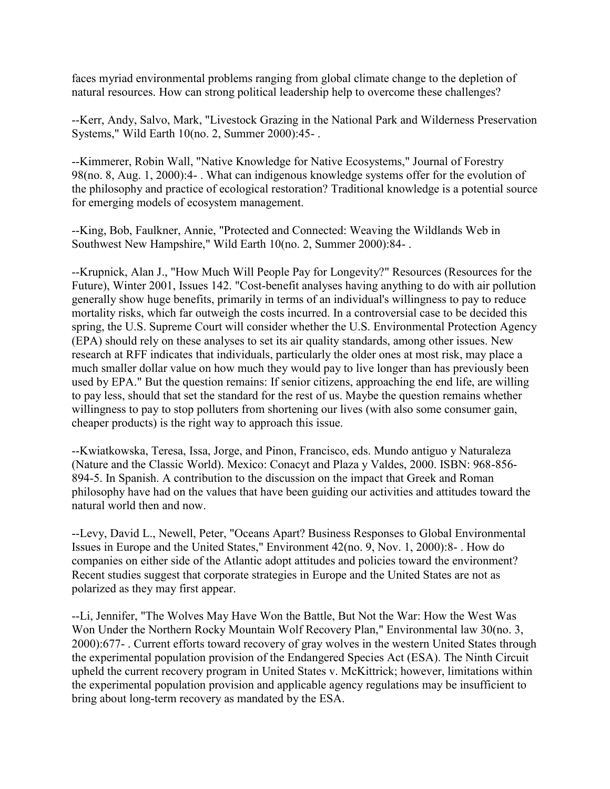faces myriad environmental problems ranging from global climate change to the depletion of natural resources. How can strong political leadership help to overcome these challenges?

--Kerr, Andy, Salvo, Mark, "Livestock Grazing in the National Park and Wilderness Preservation Systems," Wild Earth 10(no. 2, Summer 2000):45- .

--Kimmerer, Robin Wall, "Native Knowledge for Native Ecosystems," Journal of Forestry 98(no. 8, Aug. 1, 2000):4- . What can indigenous knowledge systems offer for the evolution of the philosophy and practice of ecological restoration? Traditional knowledge is a potential source for emerging models of ecosystem management.

--King, Bob, Faulkner, Annie, "Protected and Connected: Weaving the Wildlands Web in Southwest New Hampshire," Wild Earth 10(no. 2, Summer 2000):84- .

--Krupnick, Alan J., "How Much Will People Pay for Longevity?" Resources (Resources for the Future), Winter 2001, Issues 142. "Cost-benefit analyses having anything to do with air pollution generally show huge benefits, primarily in terms of an individual's willingness to pay to reduce mortality risks, which far outweigh the costs incurred. In a controversial case to be decided this spring, the U.S. Supreme Court will consider whether the U.S. Environmental Protection Agency (EPA) should rely on these analyses to set its air quality standards, among other issues. New research at RFF indicates that individuals, particularly the older ones at most risk, may place a much smaller dollar value on how much they would pay to live longer than has previously been used by EPA." But the question remains: If senior citizens, approaching the end life, are willing to pay less, should that set the standard for the rest of us. Maybe the question remains whether willingness to pay to stop polluters from shortening our lives (with also some consumer gain, cheaper products) is the right way to approach this issue.

--Kwiatkowska, Teresa, Issa, Jorge, and Pinon, Francisco, eds. Mundo antiguo y Naturaleza (Nature and the Classic World). Mexico: Conacyt and Plaza y Valdes, 2000. ISBN: 968-856- 894-5. In Spanish. A contribution to the discussion on the impact that Greek and Roman philosophy have had on the values that have been guiding our activities and attitudes toward the natural world then and now.

--Levy, David L., Newell, Peter, "Oceans Apart? Business Responses to Global Environmental Issues in Europe and the United States," Environment 42(no. 9, Nov. 1, 2000):8- . How do companies on either side of the Atlantic adopt attitudes and policies toward the environment? Recent studies suggest that corporate strategies in Europe and the United States are not as polarized as they may first appear.

--Li, Jennifer, "The Wolves May Have Won the Battle, But Not the War: How the West Was Won Under the Northern Rocky Mountain Wolf Recovery Plan," Environmental law 30(no. 3, 2000):677- . Current efforts toward recovery of gray wolves in the western United States through the experimental population provision of the Endangered Species Act (ESA). The Ninth Circuit upheld the current recovery program in United States v. McKittrick; however, limitations within the experimental population provision and applicable agency regulations may be insufficient to bring about long-term recovery as mandated by the ESA.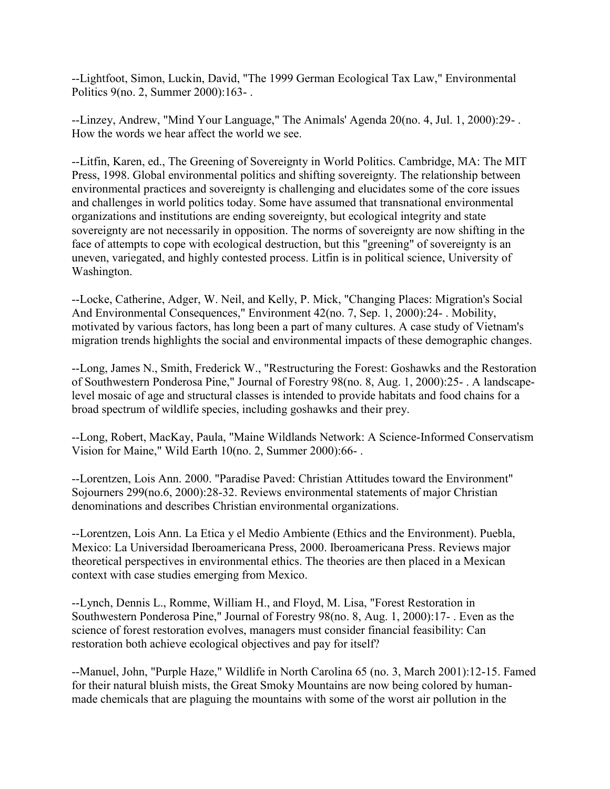--Lightfoot, Simon, Luckin, David, "The 1999 German Ecological Tax Law," Environmental Politics 9(no. 2, Summer 2000):163- .

--Linzey, Andrew, "Mind Your Language," The Animals' Agenda 20(no. 4, Jul. 1, 2000):29- . How the words we hear affect the world we see.

--Litfin, Karen, ed., The Greening of Sovereignty in World Politics. Cambridge, MA: The MIT Press, 1998. Global environmental politics and shifting sovereignty. The relationship between environmental practices and sovereignty is challenging and elucidates some of the core issues and challenges in world politics today. Some have assumed that transnational environmental organizations and institutions are ending sovereignty, but ecological integrity and state sovereignty are not necessarily in opposition. The norms of sovereignty are now shifting in the face of attempts to cope with ecological destruction, but this "greening" of sovereignty is an uneven, variegated, and highly contested process. Litfin is in political science, University of Washington.

--Locke, Catherine, Adger, W. Neil, and Kelly, P. Mick, "Changing Places: Migration's Social And Environmental Consequences," Environment 42(no. 7, Sep. 1, 2000):24- . Mobility, motivated by various factors, has long been a part of many cultures. A case study of Vietnam's migration trends highlights the social and environmental impacts of these demographic changes.

--Long, James N., Smith, Frederick W., "Restructuring the Forest: Goshawks and the Restoration of Southwestern Ponderosa Pine," Journal of Forestry 98(no. 8, Aug. 1, 2000):25- . A landscapelevel mosaic of age and structural classes is intended to provide habitats and food chains for a broad spectrum of wildlife species, including goshawks and their prey.

--Long, Robert, MacKay, Paula, "Maine Wildlands Network: A Science-Informed Conservatism Vision for Maine," Wild Earth 10(no. 2, Summer 2000):66- .

--Lorentzen, Lois Ann. 2000. "Paradise Paved: Christian Attitudes toward the Environment" Sojourners 299(no.6, 2000):28-32. Reviews environmental statements of major Christian denominations and describes Christian environmental organizations.

--Lorentzen, Lois Ann. La Etica y el Medio Ambiente (Ethics and the Environment). Puebla, Mexico: La Universidad Iberoamericana Press, 2000. Iberoamericana Press. Reviews major theoretical perspectives in environmental ethics. The theories are then placed in a Mexican context with case studies emerging from Mexico.

--Lynch, Dennis L., Romme, William H., and Floyd, M. Lisa, "Forest Restoration in Southwestern Ponderosa Pine," Journal of Forestry 98(no. 8, Aug. 1, 2000):17- . Even as the science of forest restoration evolves, managers must consider financial feasibility: Can restoration both achieve ecological objectives and pay for itself?

--Manuel, John, "Purple Haze," Wildlife in North Carolina 65 (no. 3, March 2001):12-15. Famed for their natural bluish mists, the Great Smoky Mountains are now being colored by humanmade chemicals that are plaguing the mountains with some of the worst air pollution in the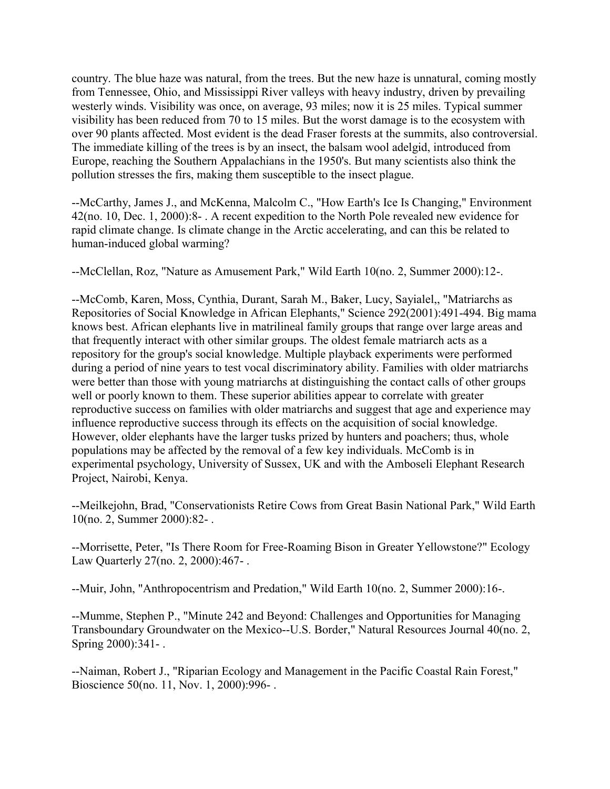country. The blue haze was natural, from the trees. But the new haze is unnatural, coming mostly from Tennessee, Ohio, and Mississippi River valleys with heavy industry, driven by prevailing westerly winds. Visibility was once, on average, 93 miles; now it is 25 miles. Typical summer visibility has been reduced from 70 to 15 miles. But the worst damage is to the ecosystem with over 90 plants affected. Most evident is the dead Fraser forests at the summits, also controversial. The immediate killing of the trees is by an insect, the balsam wool adelgid, introduced from Europe, reaching the Southern Appalachians in the 1950's. But many scientists also think the pollution stresses the firs, making them susceptible to the insect plague.

--McCarthy, James J., and McKenna, Malcolm C., "How Earth's Ice Is Changing," Environment 42(no. 10, Dec. 1, 2000):8- . A recent expedition to the North Pole revealed new evidence for rapid climate change. Is climate change in the Arctic accelerating, and can this be related to human-induced global warming?

--McClellan, Roz, "Nature as Amusement Park," Wild Earth 10(no. 2, Summer 2000):12-.

--McComb, Karen, Moss, Cynthia, Durant, Sarah M., Baker, Lucy, Sayialel,, "Matriarchs as Repositories of Social Knowledge in African Elephants," Science 292(2001):491-494. Big mama knows best. African elephants live in matrilineal family groups that range over large areas and that frequently interact with other similar groups. The oldest female matriarch acts as a repository for the group's social knowledge. Multiple playback experiments were performed during a period of nine years to test vocal discriminatory ability. Families with older matriarchs were better than those with young matriarchs at distinguishing the contact calls of other groups well or poorly known to them. These superior abilities appear to correlate with greater reproductive success on families with older matriarchs and suggest that age and experience may influence reproductive success through its effects on the acquisition of social knowledge. However, older elephants have the larger tusks prized by hunters and poachers; thus, whole populations may be affected by the removal of a few key individuals. McComb is in experimental psychology, University of Sussex, UK and with the Amboseli Elephant Research Project, Nairobi, Kenya.

--Meilkejohn, Brad, "Conservationists Retire Cows from Great Basin National Park," Wild Earth 10(no. 2, Summer 2000):82- .

--Morrisette, Peter, "Is There Room for Free-Roaming Bison in Greater Yellowstone?" Ecology Law Quarterly 27(no. 2, 2000):467- .

--Muir, John, "Anthropocentrism and Predation," Wild Earth 10(no. 2, Summer 2000):16-.

--Mumme, Stephen P., "Minute 242 and Beyond: Challenges and Opportunities for Managing Transboundary Groundwater on the Mexico--U.S. Border," Natural Resources Journal 40(no. 2, Spring 2000):341- .

--Naiman, Robert J., "Riparian Ecology and Management in the Pacific Coastal Rain Forest," Bioscience 50(no. 11, Nov. 1, 2000):996- .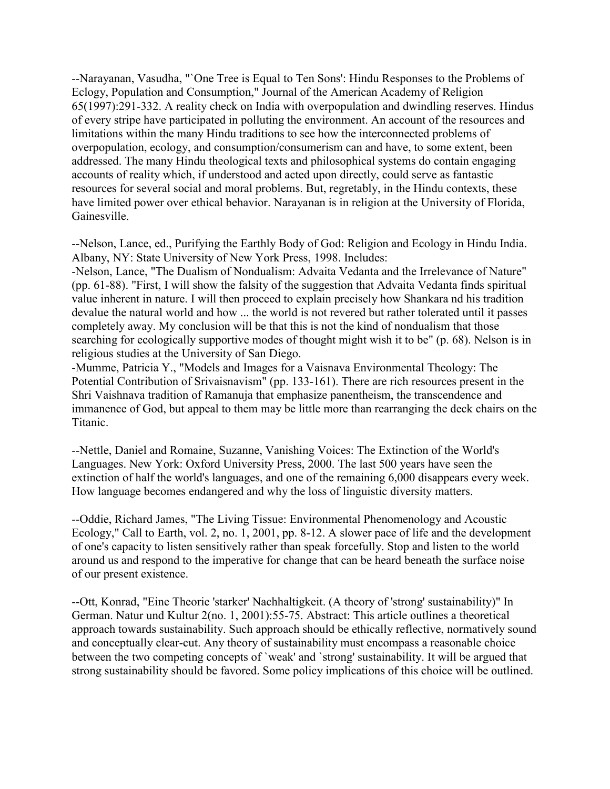--Narayanan, Vasudha, "`One Tree is Equal to Ten Sons': Hindu Responses to the Problems of Eclogy, Population and Consumption," Journal of the American Academy of Religion 65(1997):291-332. A reality check on India with overpopulation and dwindling reserves. Hindus of every stripe have participated in polluting the environment. An account of the resources and limitations within the many Hindu traditions to see how the interconnected problems of overpopulation, ecology, and consumption/consumerism can and have, to some extent, been addressed. The many Hindu theological texts and philosophical systems do contain engaging accounts of reality which, if understood and acted upon directly, could serve as fantastic resources for several social and moral problems. But, regretably, in the Hindu contexts, these have limited power over ethical behavior. Narayanan is in religion at the University of Florida, Gainesville.

--Nelson, Lance, ed., Purifying the Earthly Body of God: Religion and Ecology in Hindu India. Albany, NY: State University of New York Press, 1998. Includes:

-Nelson, Lance, "The Dualism of Nondualism: Advaita Vedanta and the Irrelevance of Nature" (pp. 61-88). "First, I will show the falsity of the suggestion that Advaita Vedanta finds spiritual value inherent in nature. I will then proceed to explain precisely how Shankara nd his tradition devalue the natural world and how ... the world is not revered but rather tolerated until it passes completely away. My conclusion will be that this is not the kind of nondualism that those searching for ecologically supportive modes of thought might wish it to be" (p. 68). Nelson is in religious studies at the University of San Diego.

-Mumme, Patricia Y., "Models and Images for a Vaisnava Environmental Theology: The Potential Contribution of Srivaisnavism" (pp. 133-161). There are rich resources present in the Shri Vaishnava tradition of Ramanuja that emphasize panentheism, the transcendence and immanence of God, but appeal to them may be little more than rearranging the deck chairs on the Titanic.

--Nettle, Daniel and Romaine, Suzanne, Vanishing Voices: The Extinction of the World's Languages. New York: Oxford University Press, 2000. The last 500 years have seen the extinction of half the world's languages, and one of the remaining 6,000 disappears every week. How language becomes endangered and why the loss of linguistic diversity matters.

--Oddie, Richard James, "The Living Tissue: Environmental Phenomenology and Acoustic Ecology," Call to Earth, vol. 2, no. 1, 2001, pp. 8-12. A slower pace of life and the development of one's capacity to listen sensitively rather than speak forcefully. Stop and listen to the world around us and respond to the imperative for change that can be heard beneath the surface noise of our present existence.

--Ott, Konrad, "Eine Theorie 'starker' Nachhaltigkeit. (A theory of 'strong' sustainability)" In German. Natur und Kultur 2(no. 1, 2001):55-75. Abstract: This article outlines a theoretical approach towards sustainability. Such approach should be ethically reflective, normatively sound and conceptually clear-cut. Any theory of sustainability must encompass a reasonable choice between the two competing concepts of `weak' and `strong' sustainability. It will be argued that strong sustainability should be favored. Some policy implications of this choice will be outlined.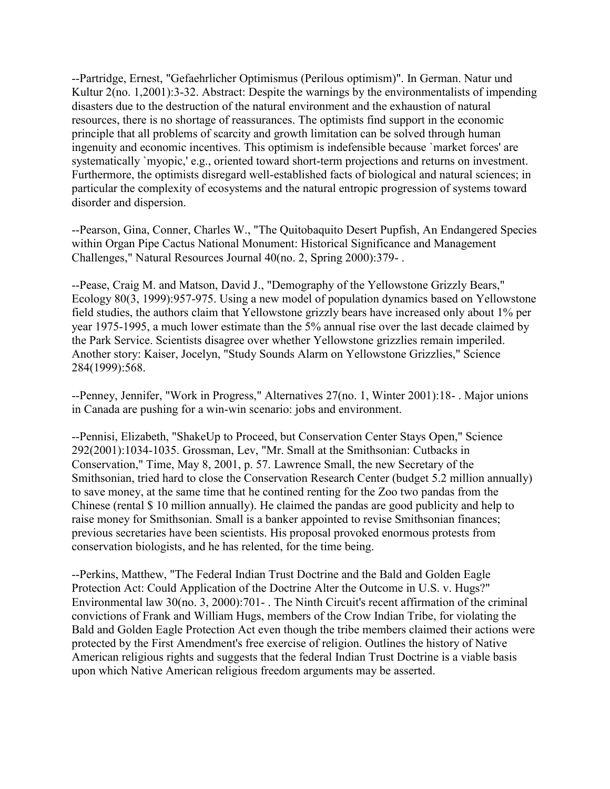--Partridge, Ernest, "Gefaehrlicher Optimismus (Perilous optimism)". In German. Natur und Kultur 2(no. 1,2001):3-32. Abstract: Despite the warnings by the environmentalists of impending disasters due to the destruction of the natural environment and the exhaustion of natural resources, there is no shortage of reassurances. The optimists find support in the economic principle that all problems of scarcity and growth limitation can be solved through human ingenuity and economic incentives. This optimism is indefensible because `market forces' are systematically `myopic,' e.g., oriented toward short-term projections and returns on investment. Furthermore, the optimists disregard well-established facts of biological and natural sciences; in particular the complexity of ecosystems and the natural entropic progression of systems toward disorder and dispersion.

--Pearson, Gina, Conner, Charles W., "The Quitobaquito Desert Pupfish, An Endangered Species within Organ Pipe Cactus National Monument: Historical Significance and Management Challenges," Natural Resources Journal 40(no. 2, Spring 2000):379- .

--Pease, Craig M. and Matson, David J., "Demography of the Yellowstone Grizzly Bears," Ecology 80(3, 1999):957-975. Using a new model of population dynamics based on Yellowstone field studies, the authors claim that Yellowstone grizzly bears have increased only about 1% per year 1975-1995, a much lower estimate than the 5% annual rise over the last decade claimed by the Park Service. Scientists disagree over whether Yellowstone grizzlies remain imperiled. Another story: Kaiser, Jocelyn, "Study Sounds Alarm on Yellowstone Grizzlies," Science 284(1999):568.

--Penney, Jennifer, "Work in Progress," Alternatives 27(no. 1, Winter 2001):18- . Major unions in Canada are pushing for a win-win scenario: jobs and environment.

--Pennisi, Elizabeth, "ShakeUp to Proceed, but Conservation Center Stays Open," Science 292(2001):1034-1035. Grossman, Lev, "Mr. Small at the Smithsonian: Cutbacks in Conservation," Time, May 8, 2001, p. 57. Lawrence Small, the new Secretary of the Smithsonian, tried hard to close the Conservation Research Center (budget 5.2 million annually) to save money, at the same time that he contined renting for the Zoo two pandas from the Chinese (rental \$ 10 million annually). He claimed the pandas are good publicity and help to raise money for Smithsonian. Small is a banker appointed to revise Smithsonian finances; previous secretaries have been scientists. His proposal provoked enormous protests from conservation biologists, and he has relented, for the time being.

--Perkins, Matthew, "The Federal Indian Trust Doctrine and the Bald and Golden Eagle Protection Act: Could Application of the Doctrine Alter the Outcome in U.S. v. Hugs?" Environmental law 30(no. 3, 2000):701- . The Ninth Circuit's recent affirmation of the criminal convictions of Frank and William Hugs, members of the Crow Indian Tribe, for violating the Bald and Golden Eagle Protection Act even though the tribe members claimed their actions were protected by the First Amendment's free exercise of religion. Outlines the history of Native American religious rights and suggests that the federal Indian Trust Doctrine is a viable basis upon which Native American religious freedom arguments may be asserted.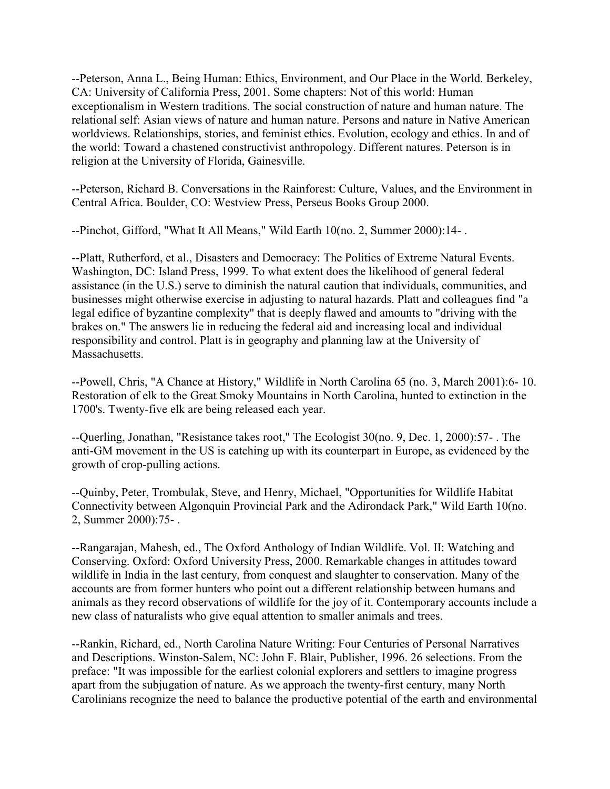--Peterson, Anna L., Being Human: Ethics, Environment, and Our Place in the World. Berkeley, CA: University of California Press, 2001. Some chapters: Not of this world: Human exceptionalism in Western traditions. The social construction of nature and human nature. The relational self: Asian views of nature and human nature. Persons and nature in Native American worldviews. Relationships, stories, and feminist ethics. Evolution, ecology and ethics. In and of the world: Toward a chastened constructivist anthropology. Different natures. Peterson is in religion at the University of Florida, Gainesville.

--Peterson, Richard B. Conversations in the Rainforest: Culture, Values, and the Environment in Central Africa. Boulder, CO: Westview Press, Perseus Books Group 2000.

--Pinchot, Gifford, "What It All Means," Wild Earth 10(no. 2, Summer 2000):14- .

--Platt, Rutherford, et al., Disasters and Democracy: The Politics of Extreme Natural Events. Washington, DC: Island Press, 1999. To what extent does the likelihood of general federal assistance (in the U.S.) serve to diminish the natural caution that individuals, communities, and businesses might otherwise exercise in adjusting to natural hazards. Platt and colleagues find "a legal edifice of byzantine complexity" that is deeply flawed and amounts to "driving with the brakes on." The answers lie in reducing the federal aid and increasing local and individual responsibility and control. Platt is in geography and planning law at the University of Massachusetts.

--Powell, Chris, "A Chance at History," Wildlife in North Carolina 65 (no. 3, March 2001):6- 10. Restoration of elk to the Great Smoky Mountains in North Carolina, hunted to extinction in the 1700's. Twenty-five elk are being released each year.

--Querling, Jonathan, "Resistance takes root," The Ecologist 30(no. 9, Dec. 1, 2000):57- . The anti-GM movement in the US is catching up with its counterpart in Europe, as evidenced by the growth of crop-pulling actions.

--Quinby, Peter, Trombulak, Steve, and Henry, Michael, "Opportunities for Wildlife Habitat Connectivity between Algonquin Provincial Park and the Adirondack Park," Wild Earth 10(no. 2, Summer 2000):75- .

--Rangarajan, Mahesh, ed., The Oxford Anthology of Indian Wildlife. Vol. II: Watching and Conserving. Oxford: Oxford University Press, 2000. Remarkable changes in attitudes toward wildlife in India in the last century, from conquest and slaughter to conservation. Many of the accounts are from former hunters who point out a different relationship between humans and animals as they record observations of wildlife for the joy of it. Contemporary accounts include a new class of naturalists who give equal attention to smaller animals and trees.

--Rankin, Richard, ed., North Carolina Nature Writing: Four Centuries of Personal Narratives and Descriptions. Winston-Salem, NC: John F. Blair, Publisher, 1996. 26 selections. From the preface: "It was impossible for the earliest colonial explorers and settlers to imagine progress apart from the subjugation of nature. As we approach the twenty-first century, many North Carolinians recognize the need to balance the productive potential of the earth and environmental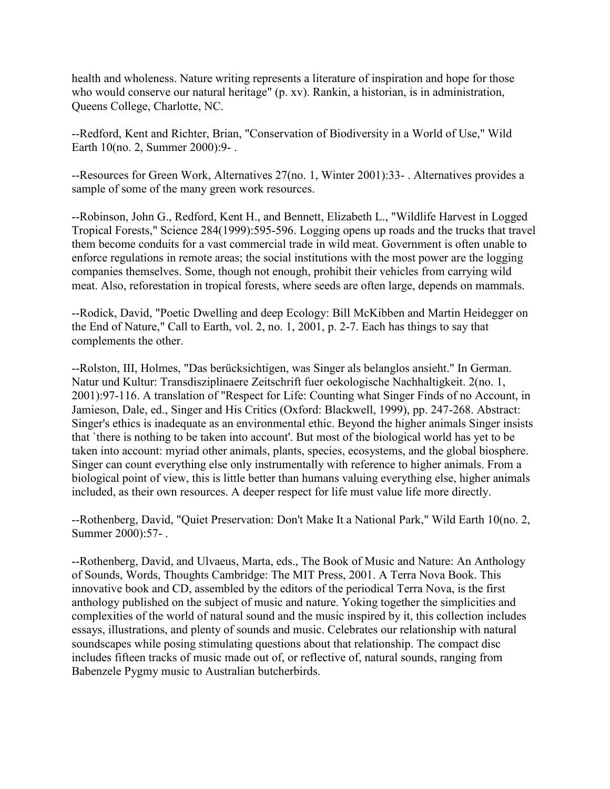health and wholeness. Nature writing represents a literature of inspiration and hope for those who would conserve our natural heritage" (p. xv). Rankin, a historian, is in administration, Queens College, Charlotte, NC.

--Redford, Kent and Richter, Brian, "Conservation of Biodiversity in a World of Use," Wild Earth 10(no. 2, Summer 2000):9- .

--Resources for Green Work, Alternatives 27(no. 1, Winter 2001):33- . Alternatives provides a sample of some of the many green work resources.

--Robinson, John G., Redford, Kent H., and Bennett, Elizabeth L., "Wildlife Harvest in Logged Tropical Forests," Science 284(1999):595-596. Logging opens up roads and the trucks that travel them become conduits for a vast commercial trade in wild meat. Government is often unable to enforce regulations in remote areas; the social institutions with the most power are the logging companies themselves. Some, though not enough, prohibit their vehicles from carrying wild meat. Also, reforestation in tropical forests, where seeds are often large, depends on mammals.

--Rodick, David, "Poetic Dwelling and deep Ecology: Bill McKibben and Martin Heidegger on the End of Nature," Call to Earth, vol. 2, no. 1, 2001, p. 2-7. Each has things to say that complements the other.

--Rolston, III, Holmes, "Das berücksichtigen, was Singer als belanglos ansieht." In German. Natur und Kultur: Transdisziplinaere Zeitschrift fuer oekologische Nachhaltigkeit. 2(no. 1, 2001):97-116. A translation of "Respect for Life: Counting what Singer Finds of no Account, in Jamieson, Dale, ed., Singer and His Critics (Oxford: Blackwell, 1999), pp. 247-268. Abstract: Singer's ethics is inadequate as an environmental ethic. Beyond the higher animals Singer insists that `there is nothing to be taken into account'. But most of the biological world has yet to be taken into account: myriad other animals, plants, species, ecosystems, and the global biosphere. Singer can count everything else only instrumentally with reference to higher animals. From a biological point of view, this is little better than humans valuing everything else, higher animals included, as their own resources. A deeper respect for life must value life more directly.

--Rothenberg, David, "Quiet Preservation: Don't Make It a National Park," Wild Earth 10(no. 2, Summer 2000):57- .

--Rothenberg, David, and Ulvaeus, Marta, eds., The Book of Music and Nature: An Anthology of Sounds, Words, Thoughts Cambridge: The MIT Press, 2001. A Terra Nova Book. This innovative book and CD, assembled by the editors of the periodical Terra Nova, is the first anthology published on the subject of music and nature. Yoking together the simplicities and complexities of the world of natural sound and the music inspired by it, this collection includes essays, illustrations, and plenty of sounds and music. Celebrates our relationship with natural soundscapes while posing stimulating questions about that relationship. The compact disc includes fifteen tracks of music made out of, or reflective of, natural sounds, ranging from Babenzele Pygmy music to Australian butcherbirds.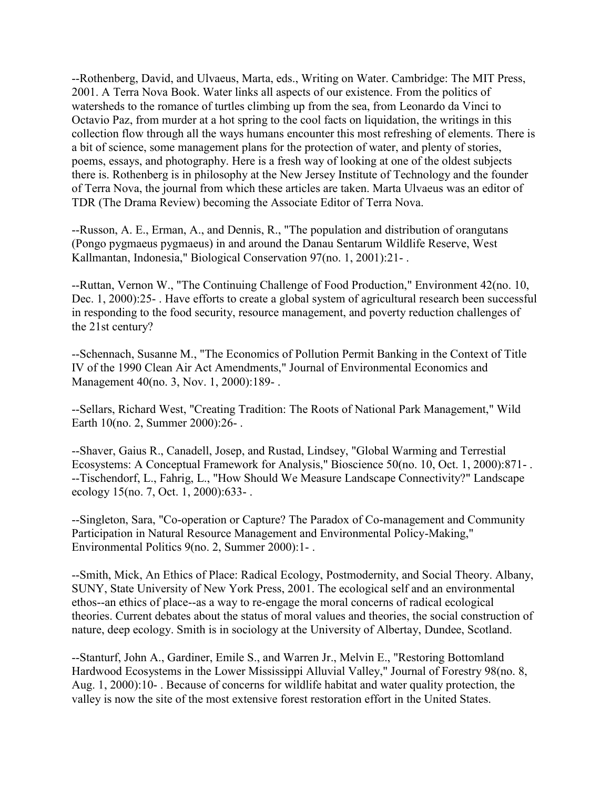--Rothenberg, David, and Ulvaeus, Marta, eds., Writing on Water. Cambridge: The MIT Press, 2001. A Terra Nova Book. Water links all aspects of our existence. From the politics of watersheds to the romance of turtles climbing up from the sea, from Leonardo da Vinci to Octavio Paz, from murder at a hot spring to the cool facts on liquidation, the writings in this collection flow through all the ways humans encounter this most refreshing of elements. There is a bit of science, some management plans for the protection of water, and plenty of stories, poems, essays, and photography. Here is a fresh way of looking at one of the oldest subjects there is. Rothenberg is in philosophy at the New Jersey Institute of Technology and the founder of Terra Nova, the journal from which these articles are taken. Marta Ulvaeus was an editor of TDR (The Drama Review) becoming the Associate Editor of Terra Nova.

--Russon, A. E., Erman, A., and Dennis, R., "The population and distribution of orangutans (Pongo pygmaeus pygmaeus) in and around the Danau Sentarum Wildlife Reserve, West Kallmantan, Indonesia," Biological Conservation 97(no. 1, 2001):21- .

--Ruttan, Vernon W., "The Continuing Challenge of Food Production," Environment 42(no. 10, Dec. 1, 2000):25- . Have efforts to create a global system of agricultural research been successful in responding to the food security, resource management, and poverty reduction challenges of the 21st century?

--Schennach, Susanne M., "The Economics of Pollution Permit Banking in the Context of Title IV of the 1990 Clean Air Act Amendments," Journal of Environmental Economics and Management 40(no. 3, Nov. 1, 2000):189- .

--Sellars, Richard West, "Creating Tradition: The Roots of National Park Management," Wild Earth 10(no. 2, Summer 2000):26- .

--Shaver, Gaius R., Canadell, Josep, and Rustad, Lindsey, "Global Warming and Terrestial Ecosystems: A Conceptual Framework for Analysis," Bioscience 50(no. 10, Oct. 1, 2000):871- . --Tischendorf, L., Fahrig, L., "How Should We Measure Landscape Connectivity?" Landscape ecology 15(no. 7, Oct. 1, 2000):633- .

--Singleton, Sara, "Co-operation or Capture? The Paradox of Co-management and Community Participation in Natural Resource Management and Environmental Policy-Making," Environmental Politics 9(no. 2, Summer 2000):1- .

--Smith, Mick, An Ethics of Place: Radical Ecology, Postmodernity, and Social Theory. Albany, SUNY, State University of New York Press, 2001. The ecological self and an environmental ethos--an ethics of place--as a way to re-engage the moral concerns of radical ecological theories. Current debates about the status of moral values and theories, the social construction of nature, deep ecology. Smith is in sociology at the University of Albertay, Dundee, Scotland.

--Stanturf, John A., Gardiner, Emile S., and Warren Jr., Melvin E., "Restoring Bottomland Hardwood Ecosystems in the Lower Mississippi Alluvial Valley," Journal of Forestry 98(no. 8, Aug. 1, 2000):10- . Because of concerns for wildlife habitat and water quality protection, the valley is now the site of the most extensive forest restoration effort in the United States.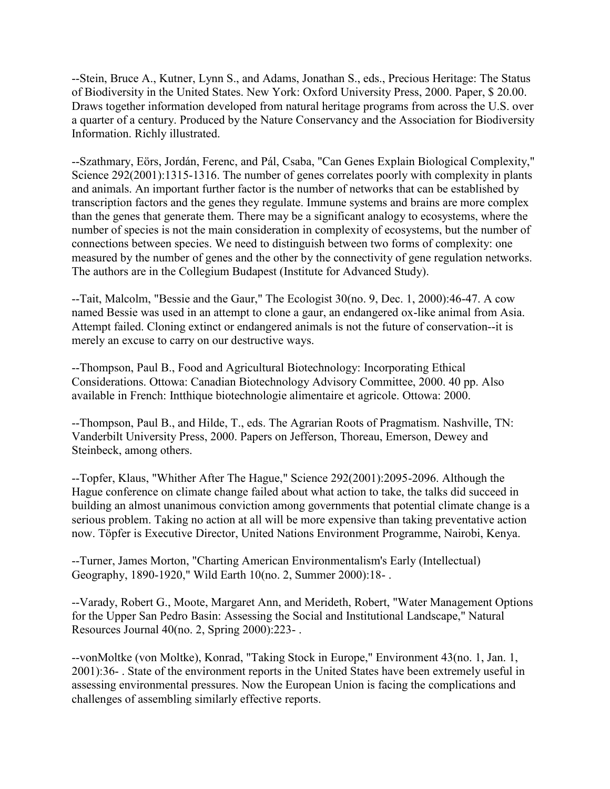--Stein, Bruce A., Kutner, Lynn S., and Adams, Jonathan S., eds., Precious Heritage: The Status of Biodiversity in the United States. New York: Oxford University Press, 2000. Paper, \$ 20.00. Draws together information developed from natural heritage programs from across the U.S. over a quarter of a century. Produced by the Nature Conservancy and the Association for Biodiversity Information. Richly illustrated.

--Szathmary, Eörs, Jordán, Ferenc, and Pál, Csaba, "Can Genes Explain Biological Complexity," Science 292(2001):1315-1316. The number of genes correlates poorly with complexity in plants and animals. An important further factor is the number of networks that can be established by transcription factors and the genes they regulate. Immune systems and brains are more complex than the genes that generate them. There may be a significant analogy to ecosystems, where the number of species is not the main consideration in complexity of ecosystems, but the number of connections between species. We need to distinguish between two forms of complexity: one measured by the number of genes and the other by the connectivity of gene regulation networks. The authors are in the Collegium Budapest (Institute for Advanced Study).

--Tait, Malcolm, "Bessie and the Gaur," The Ecologist 30(no. 9, Dec. 1, 2000):46-47. A cow named Bessie was used in an attempt to clone a gaur, an endangered ox-like animal from Asia. Attempt failed. Cloning extinct or endangered animals is not the future of conservation--it is merely an excuse to carry on our destructive ways.

--Thompson, Paul B., Food and Agricultural Biotechnology: Incorporating Ethical Considerations. Ottowa: Canadian Biotechnology Advisory Committee, 2000. 40 pp. Also available in French: Intthique biotechnologie alimentaire et agricole. Ottowa: 2000.

--Thompson, Paul B., and Hilde, T., eds. The Agrarian Roots of Pragmatism. Nashville, TN: Vanderbilt University Press, 2000. Papers on Jefferson, Thoreau, Emerson, Dewey and Steinbeck, among others.

--Topfer, Klaus, "Whither After The Hague," Science 292(2001):2095-2096. Although the Hague conference on climate change failed about what action to take, the talks did succeed in building an almost unanimous conviction among governments that potential climate change is a serious problem. Taking no action at all will be more expensive than taking preventative action now. Töpfer is Executive Director, United Nations Environment Programme, Nairobi, Kenya.

--Turner, James Morton, "Charting American Environmentalism's Early (Intellectual) Geography, 1890-1920," Wild Earth 10(no. 2, Summer 2000):18- .

--Varady, Robert G., Moote, Margaret Ann, and Merideth, Robert, "Water Management Options for the Upper San Pedro Basin: Assessing the Social and Institutional Landscape," Natural Resources Journal 40(no. 2, Spring 2000):223- .

--vonMoltke (von Moltke), Konrad, "Taking Stock in Europe," Environment 43(no. 1, Jan. 1, 2001):36- . State of the environment reports in the United States have been extremely useful in assessing environmental pressures. Now the European Union is facing the complications and challenges of assembling similarly effective reports.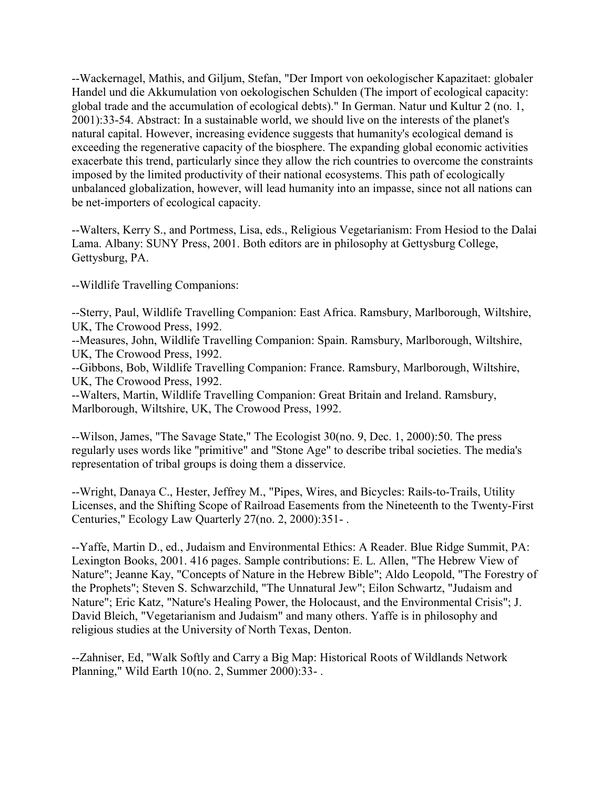--Wackernagel, Mathis, and Giljum, Stefan, "Der Import von oekologischer Kapazitaet: globaler Handel und die Akkumulation von oekologischen Schulden (The import of ecological capacity: global trade and the accumulation of ecological debts)." In German. Natur und Kultur 2 (no. 1, 2001):33-54. Abstract: In a sustainable world, we should live on the interests of the planet's natural capital. However, increasing evidence suggests that humanity's ecological demand is exceeding the regenerative capacity of the biosphere. The expanding global economic activities exacerbate this trend, particularly since they allow the rich countries to overcome the constraints imposed by the limited productivity of their national ecosystems. This path of ecologically unbalanced globalization, however, will lead humanity into an impasse, since not all nations can be net-importers of ecological capacity.

--Walters, Kerry S., and Portmess, Lisa, eds., Religious Vegetarianism: From Hesiod to the Dalai Lama. Albany: SUNY Press, 2001. Both editors are in philosophy at Gettysburg College, Gettysburg, PA.

--Wildlife Travelling Companions:

--Sterry, Paul, Wildlife Travelling Companion: East Africa. Ramsbury, Marlborough, Wiltshire, UK, The Crowood Press, 1992.

--Measures, John, Wildlife Travelling Companion: Spain. Ramsbury, Marlborough, Wiltshire, UK, The Crowood Press, 1992.

--Gibbons, Bob, Wildlife Travelling Companion: France. Ramsbury, Marlborough, Wiltshire, UK, The Crowood Press, 1992.

--Walters, Martin, Wildlife Travelling Companion: Great Britain and Ireland. Ramsbury, Marlborough, Wiltshire, UK, The Crowood Press, 1992.

--Wilson, James, "The Savage State," The Ecologist 30(no. 9, Dec. 1, 2000):50. The press regularly uses words like "primitive" and "Stone Age" to describe tribal societies. The media's representation of tribal groups is doing them a disservice.

--Wright, Danaya C., Hester, Jeffrey M., "Pipes, Wires, and Bicycles: Rails-to-Trails, Utility Licenses, and the Shifting Scope of Railroad Easements from the Nineteenth to the Twenty-First Centuries," Ecology Law Quarterly 27(no. 2, 2000):351- .

--Yaffe, Martin D., ed., Judaism and Environmental Ethics: A Reader. Blue Ridge Summit, PA: Lexington Books, 2001. 416 pages. Sample contributions: E. L. Allen, "The Hebrew View of Nature"; Jeanne Kay, "Concepts of Nature in the Hebrew Bible"; Aldo Leopold, "The Forestry of the Prophets"; Steven S. Schwarzchild, "The Unnatural Jew"; Eilon Schwartz, "Judaism and Nature"; Eric Katz, "Nature's Healing Power, the Holocaust, and the Environmental Crisis"; J. David Bleich, "Vegetarianism and Judaism" and many others. Yaffe is in philosophy and religious studies at the University of North Texas, Denton.

--Zahniser, Ed, "Walk Softly and Carry a Big Map: Historical Roots of Wildlands Network Planning," Wild Earth 10(no. 2, Summer 2000):33- .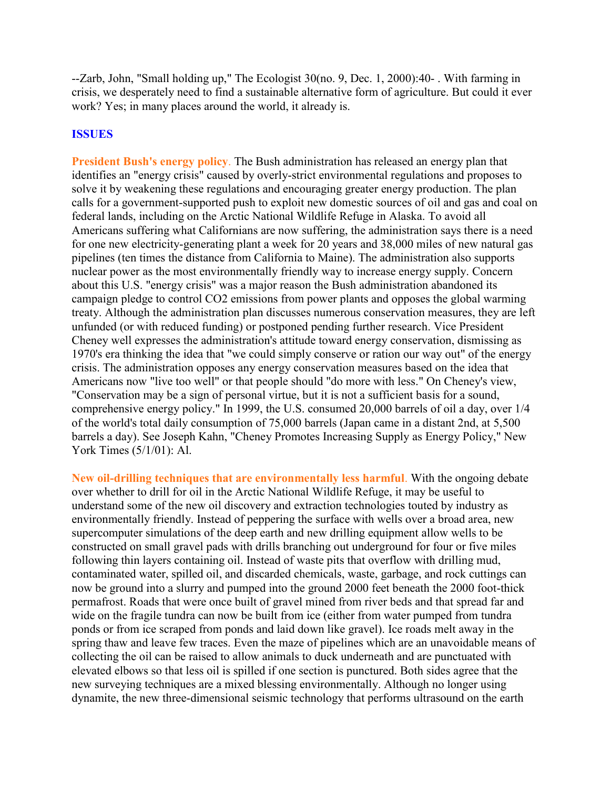--Zarb, John, "Small holding up," The Ecologist 30(no. 9, Dec. 1, 2000):40- . With farming in crisis, we desperately need to find a sustainable alternative form of agriculture. But could it ever work? Yes; in many places around the world, it already is.

#### **ISSUES**

**President Bush's energy policy**. The Bush administration has released an energy plan that identifies an "energy crisis" caused by overly-strict environmental regulations and proposes to solve it by weakening these regulations and encouraging greater energy production. The plan calls for a government-supported push to exploit new domestic sources of oil and gas and coal on federal lands, including on the Arctic National Wildlife Refuge in Alaska. To avoid all Americans suffering what Californians are now suffering, the administration says there is a need for one new electricity-generating plant a week for 20 years and 38,000 miles of new natural gas pipelines (ten times the distance from California to Maine). The administration also supports nuclear power as the most environmentally friendly way to increase energy supply. Concern about this U.S. "energy crisis" was a major reason the Bush administration abandoned its campaign pledge to control CO2 emissions from power plants and opposes the global warming treaty. Although the administration plan discusses numerous conservation measures, they are left unfunded (or with reduced funding) or postponed pending further research. Vice President Cheney well expresses the administration's attitude toward energy conservation, dismissing as 1970's era thinking the idea that "we could simply conserve or ration our way out" of the energy crisis. The administration opposes any energy conservation measures based on the idea that Americans now "live too well" or that people should "do more with less." On Cheney's view, "Conservation may be a sign of personal virtue, but it is not a sufficient basis for a sound, comprehensive energy policy." In 1999, the U.S. consumed 20,000 barrels of oil a day, over 1/4 of the world's total daily consumption of 75,000 barrels (Japan came in a distant 2nd, at 5,500 barrels a day). See Joseph Kahn, "Cheney Promotes Increasing Supply as Energy Policy," New York Times (5/1/01): Al.

**New oil-drilling techniques that are environmentally less harmful**. With the ongoing debate over whether to drill for oil in the Arctic National Wildlife Refuge, it may be useful to understand some of the new oil discovery and extraction technologies touted by industry as environmentally friendly. Instead of peppering the surface with wells over a broad area, new supercomputer simulations of the deep earth and new drilling equipment allow wells to be constructed on small gravel pads with drills branching out underground for four or five miles following thin layers containing oil. Instead of waste pits that overflow with drilling mud, contaminated water, spilled oil, and discarded chemicals, waste, garbage, and rock cuttings can now be ground into a slurry and pumped into the ground 2000 feet beneath the 2000 foot-thick permafrost. Roads that were once built of gravel mined from river beds and that spread far and wide on the fragile tundra can now be built from ice (either from water pumped from tundra ponds or from ice scraped from ponds and laid down like gravel). Ice roads melt away in the spring thaw and leave few traces. Even the maze of pipelines which are an unavoidable means of collecting the oil can be raised to allow animals to duck underneath and are punctuated with elevated elbows so that less oil is spilled if one section is punctured. Both sides agree that the new surveying techniques are a mixed blessing environmentally. Although no longer using dynamite, the new three-dimensional seismic technology that performs ultrasound on the earth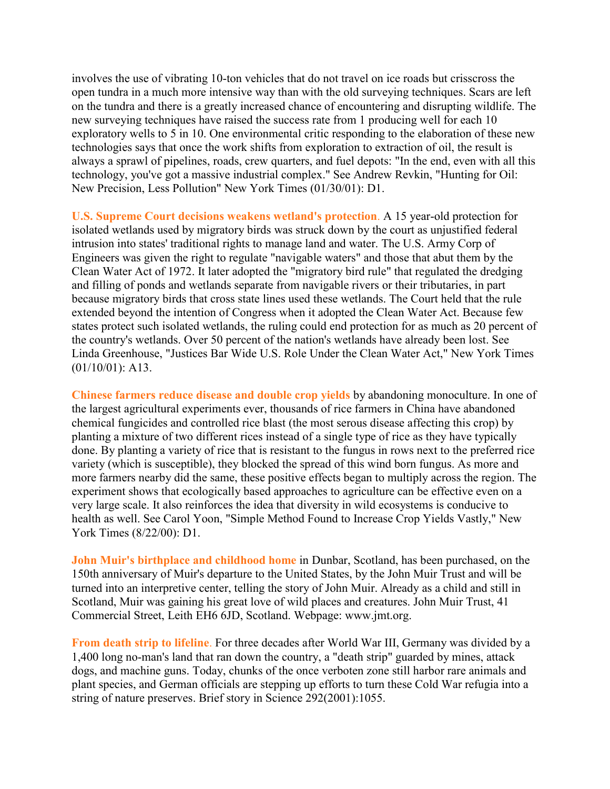involves the use of vibrating 10-ton vehicles that do not travel on ice roads but crisscross the open tundra in a much more intensive way than with the old surveying techniques. Scars are left on the tundra and there is a greatly increased chance of encountering and disrupting wildlife. The new surveying techniques have raised the success rate from 1 producing well for each 10 exploratory wells to 5 in 10. One environmental critic responding to the elaboration of these new technologies says that once the work shifts from exploration to extraction of oil, the result is always a sprawl of pipelines, roads, crew quarters, and fuel depots: "In the end, even with all this technology, you've got a massive industrial complex." See Andrew Revkin, "Hunting for Oil: New Precision, Less Pollution" New York Times (01/30/01): D1.

**U.S. Supreme Court decisions weakens wetland's protection**. A 15 year-old protection for isolated wetlands used by migratory birds was struck down by the court as unjustified federal intrusion into states' traditional rights to manage land and water. The U.S. Army Corp of Engineers was given the right to regulate "navigable waters" and those that abut them by the Clean Water Act of 1972. It later adopted the "migratory bird rule" that regulated the dredging and filling of ponds and wetlands separate from navigable rivers or their tributaries, in part because migratory birds that cross state lines used these wetlands. The Court held that the rule extended beyond the intention of Congress when it adopted the Clean Water Act. Because few states protect such isolated wetlands, the ruling could end protection for as much as 20 percent of the country's wetlands. Over 50 percent of the nation's wetlands have already been lost. See Linda Greenhouse, "Justices Bar Wide U.S. Role Under the Clean Water Act," New York Times (01/10/01): A13.

**Chinese farmers reduce disease and double crop yields** by abandoning monoculture. In one of the largest agricultural experiments ever, thousands of rice farmers in China have abandoned chemical fungicides and controlled rice blast (the most serous disease affecting this crop) by planting a mixture of two different rices instead of a single type of rice as they have typically done. By planting a variety of rice that is resistant to the fungus in rows next to the preferred rice variety (which is susceptible), they blocked the spread of this wind born fungus. As more and more farmers nearby did the same, these positive effects began to multiply across the region. The experiment shows that ecologically based approaches to agriculture can be effective even on a very large scale. It also reinforces the idea that diversity in wild ecosystems is conducive to health as well. See Carol Yoon, "Simple Method Found to Increase Crop Yields Vastly," New York Times (8/22/00): D1.

**John Muir's birthplace and childhood home** in Dunbar, Scotland, has been purchased, on the 150th anniversary of Muir's departure to the United States, by the John Muir Trust and will be turned into an interpretive center, telling the story of John Muir. Already as a child and still in Scotland, Muir was gaining his great love of wild places and creatures. John Muir Trust, 41 Commercial Street, Leith EH6 6JD, Scotland. Webpage: www.jmt.org.

**From death strip to lifeline**. For three decades after World War III, Germany was divided by a 1,400 long no-man's land that ran down the country, a "death strip" guarded by mines, attack dogs, and machine guns. Today, chunks of the once verboten zone still harbor rare animals and plant species, and German officials are stepping up efforts to turn these Cold War refugia into a string of nature preserves. Brief story in Science 292(2001):1055.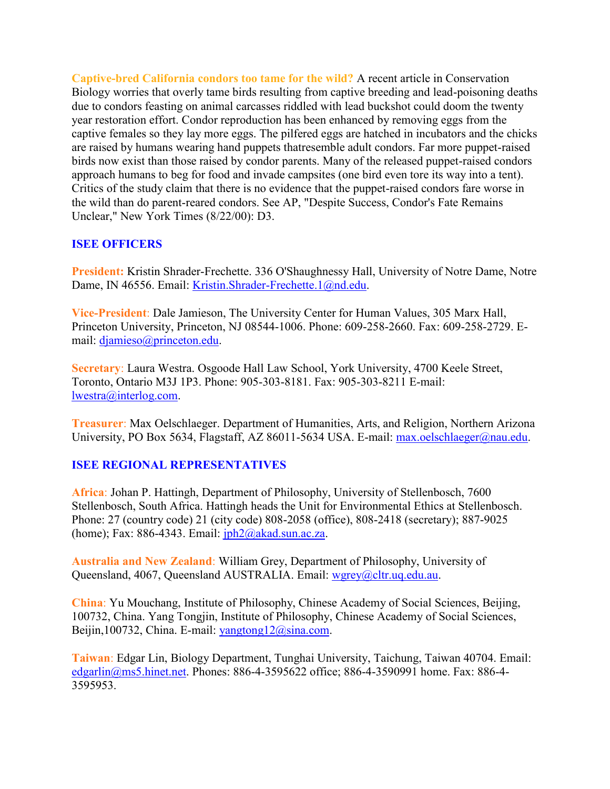**Captive-bred California condors too tame for the wild?** A recent article in Conservation Biology worries that overly tame birds resulting from captive breeding and lead-poisoning deaths due to condors feasting on animal carcasses riddled with lead buckshot could doom the twenty year restoration effort. Condor reproduction has been enhanced by removing eggs from the captive females so they lay more eggs. The pilfered eggs are hatched in incubators and the chicks are raised by humans wearing hand puppets thatresemble adult condors. Far more puppet-raised birds now exist than those raised by condor parents. Many of the released puppet-raised condors approach humans to beg for food and invade campsites (one bird even tore its way into a tent). Critics of the study claim that there is no evidence that the puppet-raised condors fare worse in the wild than do parent-reared condors. See AP, "Despite Success, Condor's Fate Remains Unclear," New York Times (8/22/00): D3.

## **ISEE OFFICERS**

**President:** Kristin Shrader-Frechette. 336 O'Shaughnessy Hall, University of Notre Dame, Notre Dame, IN 46556. Email: [Kristin.Shrader-Frechette.1@nd.edu.](mailto:Kristin.Shrader-Frechette.1@nd.edu)

**Vice-President**: Dale Jamieson, The University Center for Human Values, 305 Marx Hall, Princeton University, Princeton, NJ 08544-1006. Phone: 609-258-2660. Fax: 609-258-2729. Email: [djamieso@princeton.edu.](mailto:djamieso@princeton.edu)

**Secretary**: Laura Westra. Osgoode Hall Law School, York University, 4700 Keele Street, Toronto, Ontario M3J 1P3. Phone: 905-303-8181. Fax: 905-303-8211 E-mail: [lwestra@interlog.com.](mailto:lwestra@interlog.com)

**Treasurer**: Max Oelschlaeger. Department of Humanities, Arts, and Religion, Northern Arizona University, PO Box 5634, Flagstaff, AZ 86011-5634 USA. E-mail: [max.oelschlaeger@nau.edu.](mailto:max.oelschlaeger@nau.edu)

# **ISEE REGIONAL REPRESENTATIVES**

**Africa**: Johan P. Hattingh, Department of Philosophy, University of Stellenbosch, 7600 Stellenbosch, South Africa. Hattingh heads the Unit for Environmental Ethics at Stellenbosch. Phone: 27 (country code) 21 (city code) 808-2058 (office), 808-2418 (secretary); 887-9025 (home); Fax:  $886-4343$ . Email:  $iph2@akad.sun.ac.za$ .

**Australia and New Zealand**: William Grey, Department of Philosophy, University of Queensland, 4067, Queensland AUSTRALIA. Email: [wgrey@cltr.uq.edu.au.](mailto:wgrey@cltr.uq.edu.au)

**China**: Yu Mouchang, Institute of Philosophy, Chinese Academy of Social Sciences, Beijing, 100732, China. Yang Tongjin, Institute of Philosophy, Chinese Academy of Social Sciences, Beijin,100732, China. E-mail: [yangtong12@sina.com.](mailto:yangtong12@sina.com)

**Taiwan**: Edgar Lin, Biology Department, Tunghai University, Taichung, Taiwan 40704. Email: [edgarlin@ms5.hinet.net.](mailto:edgarlin@ms5.hinet.net) Phones: 886-4-3595622 office; 886-4-3590991 home. Fax: 886-4- 3595953.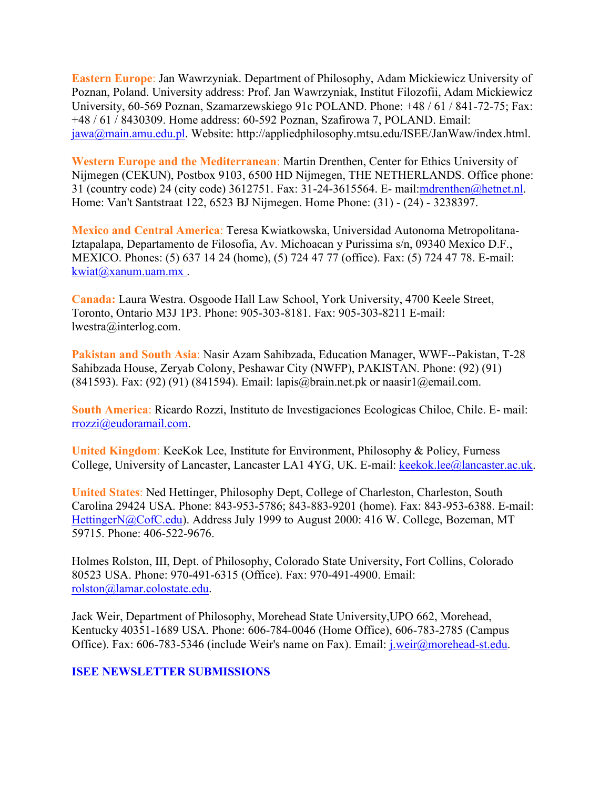**Eastern Europe**: Jan Wawrzyniak. Department of Philosophy, Adam Mickiewicz University of Poznan, Poland. University address: Prof. Jan Wawrzyniak, Institut Filozofii, Adam Mickiewicz University, 60-569 Poznan, Szamarzewskiego 91c POLAND. Phone: +48 / 61 / 841-72-75; Fax: +48 / 61 / 8430309. Home address: 60-592 Poznan, Szafirowa 7, POLAND. Email: [jawa@main.amu.edu.pl.](mailto:jawa@main.amu.edu.pl) Website: http://appliedphilosophy.mtsu.edu/ISEE/JanWaw/index.html.

**Western Europe and the Mediterranean**: Martin Drenthen, Center for Ethics University of Nijmegen (CEKUN), Postbox 9103, 6500 HD Nijmegen, THE NETHERLANDS. Office phone: 31 (country code) 24 (city code) 3612751. Fax: 31-24-3615564. E- mail[:mdrenthen@hetnet.nl.](mailto:mdrenthen@hetnet.nl) Home: Van't Santstraat 122, 6523 BJ Nijmegen. Home Phone: (31) - (24) - 3238397.

**Mexico and Central America**: Teresa Kwiatkowska, Universidad Autonoma Metropolitana-Iztapalapa, Departamento de Filosofia, Av. Michoacan y Purissima s/n, 09340 Mexico D.F., MEXICO. Phones: (5) 637 14 24 (home), (5) 724 47 77 (office). Fax: (5) 724 47 78. E-mail: [kwiat@xanum.uam.mx .](mailto:kwiat@xanum.uam.mx)

**Canada:** Laura Westra. Osgoode Hall Law School, York University, 4700 Keele Street, Toronto, Ontario M3J 1P3. Phone: 905-303-8181. Fax: 905-303-8211 E-mail: lwestra@interlog.com.

**Pakistan and South Asia**: Nasir Azam Sahibzada, Education Manager, WWF--Pakistan, T-28 Sahibzada House, Zeryab Colony, Peshawar City (NWFP), PAKISTAN. Phone: (92) (91) (841593). Fax: (92) (91) (841594). Email: lapis@brain.net.pk or naasir1@email.com.

**South America**: Ricardo Rozzi, Instituto de Investigaciones Ecologicas Chiloe, Chile. E- mail: [rrozzi@eudoramail.com.](mailto:rrozzi@eudoramail.com)

**United Kingdom**: KeeKok Lee, Institute for Environment, Philosophy & Policy, Furness College, University of Lancaster, Lancaster LA1 4YG, UK. E-mail: [keekok.lee@lancaster.ac.uk.](mailto:keekok.lee@lancaster.ac.uk)

**United States**: Ned Hettinger, Philosophy Dept, College of Charleston, Charleston, South Carolina 29424 USA. Phone: 843-953-5786; 843-883-9201 (home). Fax: 843-953-6388. E-mail: [HettingerN@CofC.edu\)](mailto:HettingerN@CofC.edu). Address July 1999 to August 2000: 416 W. College, Bozeman, MT 59715. Phone: 406-522-9676.

Holmes Rolston, III, Dept. of Philosophy, Colorado State University, Fort Collins, Colorado 80523 USA. Phone: 970-491-6315 (Office). Fax: 970-491-4900. Email: [rolston@lamar.colostate.edu.](mailto:rolston@lamar.colostate.edu)

Jack Weir, Department of Philosophy, Morehead State University,UPO 662, Morehead, Kentucky 40351-1689 USA. Phone: 606-784-0046 (Home Office), 606-783-2785 (Campus Office). Fax: 606-783-5346 (include Weir's name on Fax). Email: [j.weir@morehead-st.edu.](mailto:j.weir@morehead-st.edu)

#### **ISEE NEWSLETTER SUBMISSIONS**